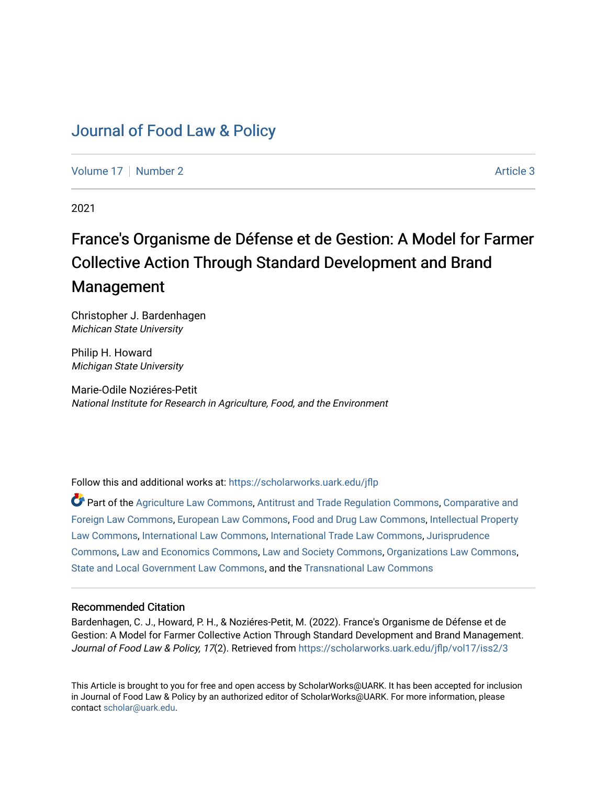## [Journal of Food Law & Policy](https://scholarworks.uark.edu/jflp)

[Volume 17](https://scholarworks.uark.edu/jflp/vol17) | [Number 2](https://scholarworks.uark.edu/jflp/vol17/iss2) Article 3

2021

# France's Organisme de Défense et de Gestion: A Model for Farmer Collective Action Through Standard Development and Brand Management

Christopher J. Bardenhagen Michican State University

Philip H. Howard Michigan State University

Marie-Odile Noziéres-Petit National Institute for Research in Agriculture, Food, and the Environment

Follow this and additional works at: [https://scholarworks.uark.edu/jflp](https://scholarworks.uark.edu/jflp?utm_source=scholarworks.uark.edu%2Fjflp%2Fvol17%2Fiss2%2F3&utm_medium=PDF&utm_campaign=PDFCoverPages) 

Part of the [Agriculture Law Commons](http://network.bepress.com/hgg/discipline/581?utm_source=scholarworks.uark.edu%2Fjflp%2Fvol17%2Fiss2%2F3&utm_medium=PDF&utm_campaign=PDFCoverPages), [Antitrust and Trade Regulation Commons](http://network.bepress.com/hgg/discipline/911?utm_source=scholarworks.uark.edu%2Fjflp%2Fvol17%2Fiss2%2F3&utm_medium=PDF&utm_campaign=PDFCoverPages), [Comparative and](http://network.bepress.com/hgg/discipline/836?utm_source=scholarworks.uark.edu%2Fjflp%2Fvol17%2Fiss2%2F3&utm_medium=PDF&utm_campaign=PDFCoverPages)  [Foreign Law Commons,](http://network.bepress.com/hgg/discipline/836?utm_source=scholarworks.uark.edu%2Fjflp%2Fvol17%2Fiss2%2F3&utm_medium=PDF&utm_campaign=PDFCoverPages) [European Law Commons](http://network.bepress.com/hgg/discipline/1084?utm_source=scholarworks.uark.edu%2Fjflp%2Fvol17%2Fiss2%2F3&utm_medium=PDF&utm_campaign=PDFCoverPages), [Food and Drug Law Commons](http://network.bepress.com/hgg/discipline/844?utm_source=scholarworks.uark.edu%2Fjflp%2Fvol17%2Fiss2%2F3&utm_medium=PDF&utm_campaign=PDFCoverPages), [Intellectual Property](http://network.bepress.com/hgg/discipline/896?utm_source=scholarworks.uark.edu%2Fjflp%2Fvol17%2Fiss2%2F3&utm_medium=PDF&utm_campaign=PDFCoverPages)  [Law Commons,](http://network.bepress.com/hgg/discipline/896?utm_source=scholarworks.uark.edu%2Fjflp%2Fvol17%2Fiss2%2F3&utm_medium=PDF&utm_campaign=PDFCoverPages) [International Law Commons,](http://network.bepress.com/hgg/discipline/609?utm_source=scholarworks.uark.edu%2Fjflp%2Fvol17%2Fiss2%2F3&utm_medium=PDF&utm_campaign=PDFCoverPages) [International Trade Law Commons](http://network.bepress.com/hgg/discipline/848?utm_source=scholarworks.uark.edu%2Fjflp%2Fvol17%2Fiss2%2F3&utm_medium=PDF&utm_campaign=PDFCoverPages), [Jurisprudence](http://network.bepress.com/hgg/discipline/610?utm_source=scholarworks.uark.edu%2Fjflp%2Fvol17%2Fiss2%2F3&utm_medium=PDF&utm_campaign=PDFCoverPages)  [Commons](http://network.bepress.com/hgg/discipline/610?utm_source=scholarworks.uark.edu%2Fjflp%2Fvol17%2Fiss2%2F3&utm_medium=PDF&utm_campaign=PDFCoverPages), [Law and Economics Commons](http://network.bepress.com/hgg/discipline/612?utm_source=scholarworks.uark.edu%2Fjflp%2Fvol17%2Fiss2%2F3&utm_medium=PDF&utm_campaign=PDFCoverPages), [Law and Society Commons,](http://network.bepress.com/hgg/discipline/853?utm_source=scholarworks.uark.edu%2Fjflp%2Fvol17%2Fiss2%2F3&utm_medium=PDF&utm_campaign=PDFCoverPages) [Organizations Law Commons](http://network.bepress.com/hgg/discipline/865?utm_source=scholarworks.uark.edu%2Fjflp%2Fvol17%2Fiss2%2F3&utm_medium=PDF&utm_campaign=PDFCoverPages), [State and Local Government Law Commons](http://network.bepress.com/hgg/discipline/879?utm_source=scholarworks.uark.edu%2Fjflp%2Fvol17%2Fiss2%2F3&utm_medium=PDF&utm_campaign=PDFCoverPages), and the [Transnational Law Commons](http://network.bepress.com/hgg/discipline/1123?utm_source=scholarworks.uark.edu%2Fjflp%2Fvol17%2Fiss2%2F3&utm_medium=PDF&utm_campaign=PDFCoverPages)

## Recommended Citation

Bardenhagen, C. J., Howard, P. H., & Noziéres-Petit, M. (2022). France's Organisme de Défense et de Gestion: A Model for Farmer Collective Action Through Standard Development and Brand Management. Journal of Food Law & Policy, 17(2). Retrieved from https://scholarworks.uark.edu/jflp/vol17/iss2/3

This Article is brought to you for free and open access by ScholarWorks@UARK. It has been accepted for inclusion in Journal of Food Law & Policy by an authorized editor of ScholarWorks@UARK. For more information, please contact [scholar@uark.edu.](mailto:scholar@uark.edu)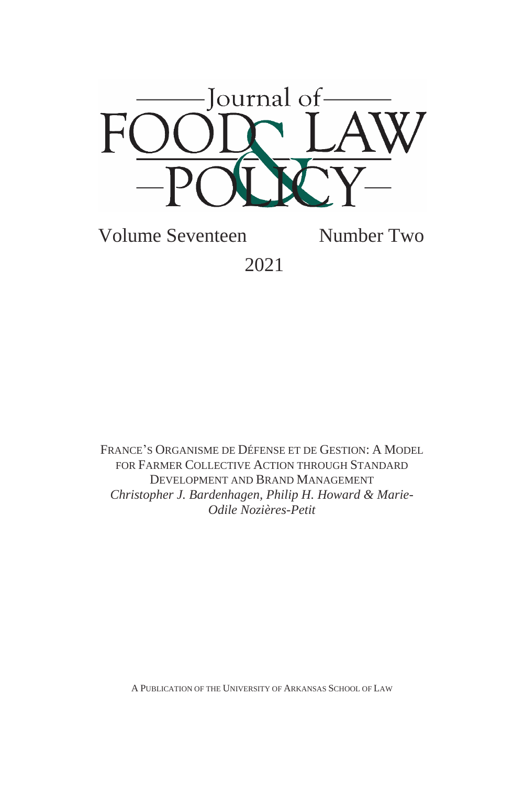

Volume Seventeen Number Two 2021

FRANCE'S ORGANISME DE DÉFENSE ET DE GESTION: A MODEL FOR FARMER COLLECTIVE ACTION THROUGH STANDARD DEVELOPMENT AND BRAND MANAGEMENT *Christopher J. Bardenhagen, Philip H. Howard & Marie-Odile Nozières-Petit*

A PUBLICATION OF THE UNIVERSITY OF ARKANSAS SCHOOL OF LAW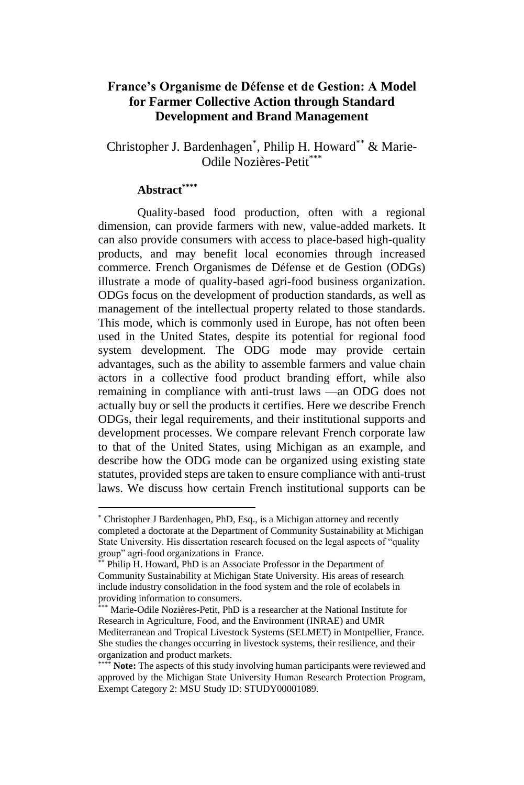## **France's Organisme de Défense et de Gestion: A Model for Farmer Collective Action through Standard Development and Brand Management**

## Christopher J. Bardenhagen\*, Philip H. Howard\*\* & Marie-Odile Nozières-Petit\*\*\*

## **Abstract\*\*\*\***

Quality-based food production, often with a regional dimension, can provide farmers with new, value-added markets. It can also provide consumers with access to place-based high-quality products, and may benefit local economies through increased commerce. French Organismes de Défense et de Gestion (ODGs) illustrate a mode of quality-based agri-food business organization. ODGs focus on the development of production standards, as well as management of the intellectual property related to those standards. This mode, which is commonly used in Europe, has not often been used in the United States, despite its potential for regional food system development. The ODG mode may provide certain advantages, such as the ability to assemble farmers and value chain actors in a collective food product branding effort, while also remaining in compliance with anti-trust laws —an ODG does not actually buy or sell the products it certifies. Here we describe French ODGs, their legal requirements, and their institutional supports and development processes. We compare relevant French corporate law to that of the United States, using Michigan as an example, and describe how the ODG mode can be organized using existing state statutes, provided steps are taken to ensure compliance with anti-trust laws. We discuss how certain French institutional supports can be

<sup>\*</sup> Christopher J Bardenhagen, PhD, Esq., is a Michigan attorney and recently completed a doctorate at the Department of Community Sustainability at Michigan State University. His dissertation research focused on the legal aspects of "quality group" agri-food organizations in France.

Philip H. Howard, PhD is an Associate Professor in the Department of Community Sustainability at Michigan State University. His areas of research include industry consolidation in the food system and the role of ecolabels in providing information to consumers.

Marie-Odile Nozières-Petit, PhD is a researcher at the National Institute for Research in Agriculture, Food, and the Environment (INRAE) and UMR Mediterranean and Tropical Livestock Systems (SELMET) in Montpellier, France. She studies the changes occurring in livestock systems, their resilience, and their organization and product markets.

**Note:** The aspects of this study involving human participants were reviewed and approved by the Michigan State University Human Research Protection Program, Exempt Category 2: MSU Study ID: STUDY00001089.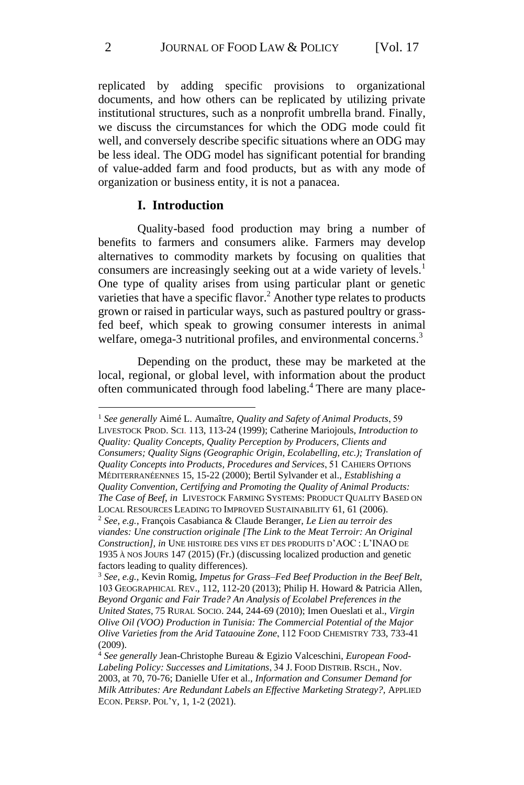replicated by adding specific provisions to organizational documents, and how others can be replicated by utilizing private institutional structures, such as a nonprofit umbrella brand. Finally, we discuss the circumstances for which the ODG mode could fit well, and conversely describe specific situations where an ODG may be less ideal. The ODG model has significant potential for branding of value-added farm and food products, but as with any mode of organization or business entity, it is not a panacea.

## **I. Introduction**

Quality-based food production may bring a number of benefits to farmers and consumers alike. Farmers may develop alternatives to commodity markets by focusing on qualities that consumers are increasingly seeking out at a wide variety of levels.<sup>1</sup> One type of quality arises from using particular plant or genetic varieties that have a specific flavor.<sup>2</sup> Another type relates to products grown or raised in particular ways, such as pastured poultry or grassfed beef, which speak to growing consumer interests in animal welfare, omega-3 nutritional profiles, and environmental concerns.<sup>3</sup>

Depending on the product, these may be marketed at the local, regional, or global level, with information about the product often communicated through food labeling. <sup>4</sup> There are many place-

<sup>1</sup> *See generally* Aimé L. Aumaître, *Quality and Safety of Animal Products*, 59 LIVESTOCK PROD. SCI. 113, 113-24 (1999); Catherine Mariojouls, *Introduction to Quality: Quality Concepts, Quality Perception by Producers, Clients and Consumers; Quality Signs (Geographic Origin, Ecolabelling, etc.); Translation of Quality Concepts into Products, Procedures and Services*, 51 CAHIERS OPTIONS MÉDITERRANÉENNES 15, 15-22 (2000); Bertil Sylvander et al., *Establishing a Quality Convention, Certifying and Promoting the Quality of Animal Products: The Case of Beef*, *in* LIVESTOCK FARMING SYSTEMS: PRODUCT QUALITY BASED ON LOCAL RESOURCES LEADING TO IMPROVED SUSTAINABILITY 61, 61 (2006).

<sup>2</sup> *See, e.g.*, François Casabianca & Claude Beranger, *Le Lien au terroir des viandes: Une construction originale [The Link to the Meat Terroir: An Original Construction], in* UNE HISTOIRE DES VINS ET DES PRODUITS D'AOC : L'INAO DE 1935 À NOS JOURS 147 (2015) (Fr.) (discussing localized production and genetic factors leading to quality differences).

<sup>3</sup> *See, e.g.,* Kevin Romig, *Impetus for Grass–Fed Beef Production in the Beef Belt*, 103 GEOGRAPHICAL REV., 112, 112-20 (2013); Philip H. Howard & Patricia Allen, *Beyond Organic and Fair Trade? An Analysis of Ecolabel Preferences in the United States*, 75 RURAL SOCIO. 244, 244-69 (2010); Imen Oueslati et al., *Virgin Olive Oil (VOO) Production in Tunisia: The Commercial Potential of the Major Olive Varieties from the Arid Tataouine Zone*, 112 FOOD CHEMISTRY 733, 733-41 (2009).

<sup>4</sup> *See generally* Jean-Christophe Bureau & Egizio Valceschini, *European Food-Labeling Policy: Successes and Limitations*, 34 J. FOOD DISTRIB. RSCH., Nov. 2003, at 70, 70-76; Danielle Ufer et al., *Information and Consumer Demand for Milk Attributes: Are Redundant Labels an Effective Marketing Strategy?,* APPLIED ECON. PERSP. POL'Y, 1, 1-2 (2021).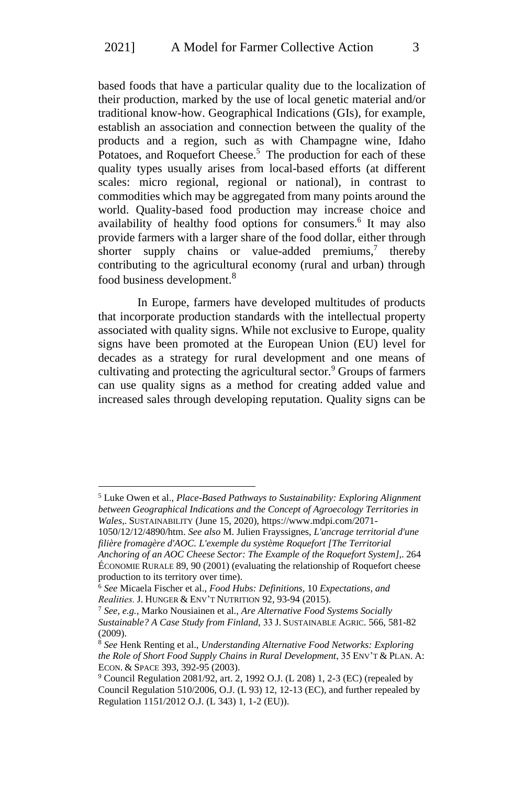based foods that have a particular quality due to the localization of their production, marked by the use of local genetic material and/or traditional know-how. Geographical Indications (GIs), for example, establish an association and connection between the quality of the products and a region, such as with Champagne wine, Idaho Potatoes, and Roquefort Cheese.<sup>5</sup> The production for each of these quality types usually arises from local-based efforts (at different scales: micro regional, regional or national), in contrast to commodities which may be aggregated from many points around the world. Quality-based food production may increase choice and availability of healthy food options for consumers.<sup>6</sup> It may also provide farmers with a larger share of the food dollar, either through shorter supply chains or value-added premiums, $\frac{7}{1}$  thereby contributing to the agricultural economy (rural and urban) through food business development.<sup>8</sup>

In Europe, farmers have developed multitudes of products that incorporate production standards with the intellectual property associated with quality signs. While not exclusive to Europe, quality signs have been promoted at the European Union (EU) level for decades as a strategy for rural development and one means of cultivating and protecting the agricultural sector.<sup>9</sup> Groups of farmers can use quality signs as a method for creating added value and increased sales through developing reputation. Quality signs can be

<sup>5</sup> Luke Owen et al., *Place-Based Pathways to Sustainability: Exploring Alignment between Geographical Indications and the Concept of Agroecology Territories in Wales,.* SUSTAINABILITY (June 15, 2020), https://www.mdpi.com/2071-

<sup>1050/12/12/4890/</sup>htm. *See also* M. Julien Frayssignes, *L'ancrage territorial d'une filière fromagère d'AOC. L'exemple du système Roquefort [The Territorial* 

*Anchoring of an AOC Cheese Sector: The Example of the Roquefort System],.* 264 ÉCONOMIE RURALE 89, 90 (2001) (evaluating the relationship of Roquefort cheese production to its territory over time).

<sup>6</sup> *See* Micaela Fischer et al., *Food Hubs: Definitions,* 10 *Expectations, and Realities.*J. HUNGER & ENV'T NUTRITION 92, 93-94 (2015).

<sup>7</sup> *See, e.g.*, Marko Nousiainen et al., *Are Alternative Food Systems Socially Sustainable? A Case Study from Finland,* 33 J. SUSTAINABLE AGRIC. 566, 581-82 (2009).

<sup>8</sup> *See* Henk Renting et al., *Understanding Alternative Food Networks: Exploring the Role of Short Food Supply Chains in Rural Development*, 35 ENV'T & PLAN. A: ECON. & SPACE 393, 392-95 (2003).

<sup>9</sup> Council Regulation 2081/92, art. 2, 1992 O.J. (L 208) 1, 2-3 (EC) (repealed by Council Regulation 510/2006, O.J. (L 93) 12, 12-13 (EC), and further repealed by Regulation 1151/2012 O.J. (L 343) 1, 1-2 (EU)).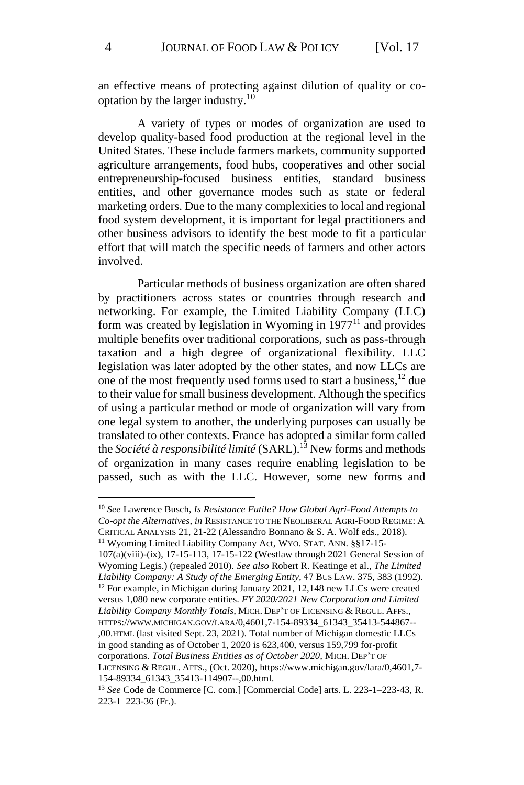an effective means of protecting against dilution of quality or cooptation by the larger industry.<sup>10</sup>

A variety of types or modes of organization are used to develop quality-based food production at the regional level in the United States. These include farmers markets, community supported agriculture arrangements, food hubs, cooperatives and other social entrepreneurship-focused business entities, standard business entities, and other governance modes such as state or federal marketing orders. Due to the many complexities to local and regional food system development, it is important for legal practitioners and other business advisors to identify the best mode to fit a particular effort that will match the specific needs of farmers and other actors involved.

Particular methods of business organization are often shared by practitioners across states or countries through research and networking. For example, the Limited Liability Company (LLC) form was created by legislation in Wyoming in  $1977<sup>11</sup>$  and provides multiple benefits over traditional corporations, such as pass-through taxation and a high degree of organizational flexibility. LLC legislation was later adopted by the other states, and now LLCs are one of the most frequently used forms used to start a business, <sup>12</sup> due to their value for small business development. Although the specifics of using a particular method or mode of organization will vary from one legal system to another, the underlying purposes can usually be translated to other contexts. France has adopted a similar form called the *Société à responsibilité limité* (SARL).<sup>13</sup> New forms and methods of organization in many cases require enabling legislation to be passed, such as with the LLC. However, some new forms and

<sup>10</sup> *See* Lawrence Busch, *Is Resistance Futile? How Global Agri-Food Attempts to Co-opt the Alternatives, in* RESISTANCE TO THE NEOLIBERAL AGRI-FOOD REGIME: A CRITICAL ANALYSIS 21, 21-22 (Alessandro Bonnano & S. A. Wolf eds., 2018). <sup>11</sup> Wyoming Limited Liability Company Act, WYO. STAT. ANN. §§17-15-

107(a)(viii)-(ix), 17-15-113, 17-15-122 (Westlaw through 2021 General Session of Wyoming Legis.) (repealed 2010). *See also* Robert R. Keatinge et al., *The Limited Liability Company: A Study of the Emerging Entity,* 47 BUS LAW. 375, 383 (1992). <sup>12</sup> For example, in Michigan during January 2021, 12,148 new LLCs were created versus 1,080 new corporate entities. *FY 2020/2021 New Corporation and Limited Liability Company Monthly Totals,* MICH. DEP'T OF LICENSING & REGUL. AFFS., HTTPS://WWW.MICHIGAN.GOV/LARA/0,4601,7-154-89334\_61343\_35413-544867-- ,00.HTML (last visited Sept. 23, 2021). Total number of Michigan domestic LLCs in good standing as of October 1, 2020 is 623,400, versus 159,799 for-profit corporations. *Total Business Entities as of October 2020,* MICH. DEP'T OF LICENSING & REGUL. AFFS., (Oct. 2020), https://www.michigan.gov/lara/0,4601,7- 154-89334\_61343\_35413-114907--,00.html.

<sup>13</sup> *See* Code de Commerce [C. com.] [Commercial Code] arts. L. 223-1–223-43, R. 223-1–223-36 (Fr.).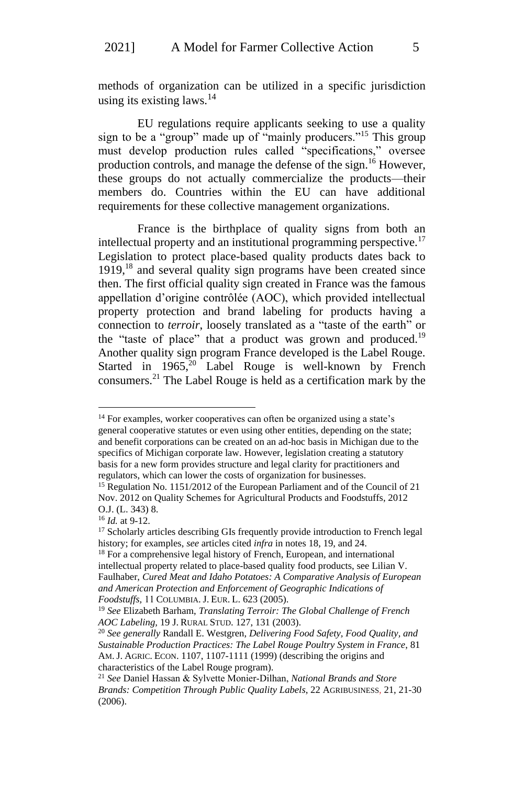methods of organization can be utilized in a specific jurisdiction using its existing laws.  $14$ 

EU regulations require applicants seeking to use a quality sign to be a "group" made up of "mainly producers."<sup>15</sup> This group must develop production rules called "specifications," oversee production controls, and manage the defense of the sign.<sup>16</sup> However, these groups do not actually commercialize the products—their members do. Countries within the EU can have additional requirements for these collective management organizations.

France is the birthplace of quality signs from both an intellectual property and an institutional programming perspective.<sup>17</sup> Legislation to protect place-based quality products dates back to  $1919<sup>18</sup>$  and several quality sign programs have been created since then. The first official quality sign created in France was the famous appellation d'origine contrôlée (AOC), which provided intellectual property protection and brand labeling for products having a connection to *terroir*, loosely translated as a "taste of the earth" or the "taste of place" that a product was grown and produced.<sup>19</sup> Another quality sign program France developed is the Label Rouge. Started in 1965,<sup>20</sup> Label Rouge is well-known by French consumers. <sup>21</sup> The Label Rouge is held as a certification mark by the

<sup>&</sup>lt;sup>14</sup> For examples, worker cooperatives can often be organized using a state's general cooperative statutes or even using other entities, depending on the state; and benefit corporations can be created on an ad-hoc basis in Michigan due to the specifics of Michigan corporate law. However, legislation creating a statutory basis for a new form provides structure and legal clarity for practitioners and regulators, which can lower the costs of organization for businesses.

<sup>15</sup> Regulation No. 1151/2012 of the European Parliament and of the Council of 21 Nov. 2012 on Quality Schemes for Agricultural Products and Foodstuffs, 2012 O.J. (L. 343) 8.

<sup>16</sup> *Id.* at 9-12.

<sup>&</sup>lt;sup>17</sup> Scholarly articles describing GIs frequently provide introduction to French legal history; for examples, *see* articles cited *infra* in notes 18, 19, and 24.

<sup>&</sup>lt;sup>18</sup> For a comprehensive legal history of French, European, and international intellectual property related to place-based quality food products, see Lilian V. Faulhaber, *Cured Meat and Idaho Potatoes: A Comparative Analysis of European and American Protection and Enforcement of Geographic Indications of Foodstuffs,* 11 COLUMBIA. J. EUR. L. 623 (2005).

<sup>19</sup> *See* Elizabeth Barham, *Translating Terroir: The Global Challenge of French AOC Labeling,* 19 J. RURAL STUD. 127, 131 (2003).

<sup>20</sup> *See generally* Randall E. Westgren, *Delivering Food Safety, Food Quality, and Sustainable Production Practices: The Label Rouge Poultry System in France*, 81 AM. J. AGRIC. ECON. 1107, 1107-1111 (1999) (describing the origins and characteristics of the Label Rouge program).

<sup>21</sup> *See* Daniel Hassan & Sylvette Monier‐Dilhan, *National Brands and Store Brands: Competition Through Public Quality Labels*, 22 AGRIBUSINESS, 21, 21-30 (2006).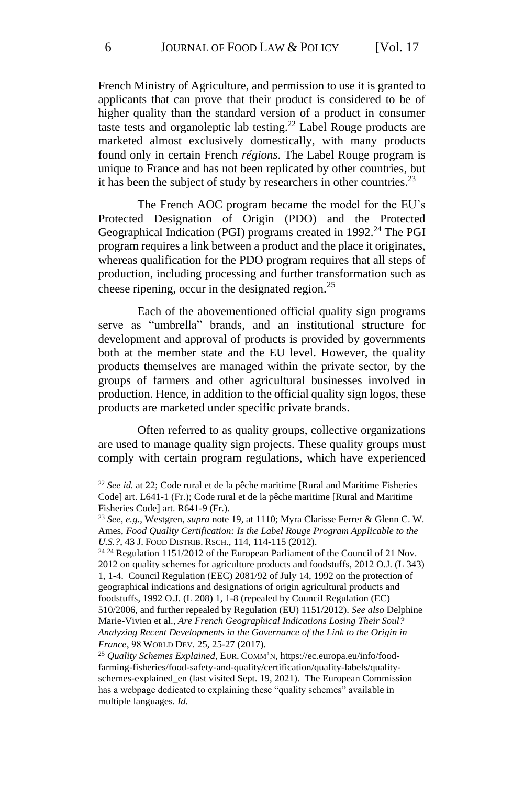French Ministry of Agriculture, and permission to use it is granted to applicants that can prove that their product is considered to be of higher quality than the standard version of a product in consumer taste tests and organoleptic lab testing.<sup>22</sup> Label Rouge products are marketed almost exclusively domestically, with many products found only in certain French *régions*. The Label Rouge program is unique to France and has not been replicated by other countries, but it has been the subject of study by researchers in other countries.<sup>23</sup>

The French AOC program became the model for the EU's Protected Designation of Origin (PDO) and the Protected Geographical Indication (PGI) programs created in  $1992.<sup>24</sup>$  The PGI program requires a link between a product and the place it originates, whereas qualification for the PDO program requires that all steps of production, including processing and further transformation such as cheese ripening, occur in the designated region. $^{25}$ 

Each of the abovementioned official quality sign programs serve as "umbrella" brands, and an institutional structure for development and approval of products is provided by governments both at the member state and the EU level. However, the quality products themselves are managed within the private sector, by the groups of farmers and other agricultural businesses involved in production. Hence, in addition to the official quality sign logos, these products are marketed under specific private brands.

Often referred to as quality groups, collective organizations are used to manage quality sign projects. These quality groups must comply with certain program regulations, which have experienced

<sup>22</sup> *See id.* at 22; Code rural et de la pêche maritime [Rural and Maritime Fisheries Code] art. L641-1 (Fr.); Code rural et de la pêche maritime [Rural and Maritime Fisheries Code] art. R641-9 (Fr.).

<sup>23</sup> *See*, *e.g.*, Westgren, *supra* note 19, at 1110; Myra Clarisse Ferrer & Glenn C. W. Ames, *Food Quality Certification: Is the Label Rouge Program Applicable to the U.S.?*, 43 J. FOOD DISTRIB. RSCH., 114, 114-115 (2012).

<sup>&</sup>lt;sup>24 24</sup> Regulation 1151/2012 of the European Parliament of the Council of 21 Nov. 2012 on quality schemes for agriculture products and foodstuffs, 2012 O.J. (L 343) 1, 1-4. Council Regulation (EEC) 2081/92 of July 14, 1992 on the protection of geographical indications and designations of origin agricultural products and foodstuffs, 1992 O.J. (L 208) 1, 1-8 (repealed by Council Regulation (EC) 510/2006, and further repealed by Regulation (EU) 1151/2012). *See also* Delphine Marie-Vivien et al., *Are French Geographical Indications Losing Their Soul? Analyzing Recent Developments in the Governance of the Link to the Origin in France*, 98 WORLD DEV. 25, 25-27 (2017).

<sup>25</sup> *Quality Schemes Explained,* EUR. COMM'N, https://ec.europa.eu/info/foodfarming-fisheries/food-safety-and-quality/certification/quality-labels/qualityschemes-explained\_en (last visited Sept. 19, 2021). The European Commission has a webpage dedicated to explaining these "quality schemes" available in multiple languages. *Id.*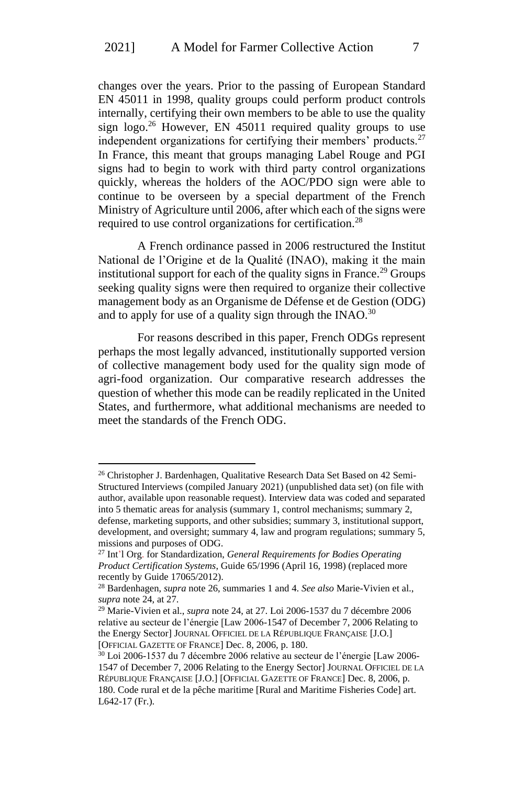changes over the years. Prior to the passing of European Standard EN 45011 in 1998, quality groups could perform product controls internally, certifying their own members to be able to use the quality sign logo.<sup>26</sup> However, EN 45011 required quality groups to use independent organizations for certifying their members' products. $27$ In France, this meant that groups managing Label Rouge and PGI signs had to begin to work with third party control organizations quickly, whereas the holders of the AOC/PDO sign were able to continue to be overseen by a special department of the French Ministry of Agriculture until 2006, after which each of the signs were required to use control organizations for certification.<sup>28</sup>

A French ordinance passed in 2006 restructured the Institut National de l'Origine et de la Qualité (INAO), making it the main institutional support for each of the quality signs in France.<sup>29</sup> Groups seeking quality signs were then required to organize their collective management body as an Organisme de Défense et de Gestion (ODG) and to apply for use of a quality sign through the INAO. $^{30}$ 

For reasons described in this paper, French ODGs represent perhaps the most legally advanced, institutionally supported version of collective management body used for the quality sign mode of agri-food organization. Our comparative research addresses the question of whether this mode can be readily replicated in the United States, and furthermore, what additional mechanisms are needed to meet the standards of the French ODG.

<sup>26</sup> Christopher J. Bardenhagen, Qualitative Research Data Set Based on 42 Semi-Structured Interviews (compiled January 2021) (unpublished data set) (on file with author, available upon reasonable request). Interview data was coded and separated into 5 thematic areas for analysis (summary 1, control mechanisms; summary 2, defense, marketing supports, and other subsidies; summary 3, institutional support, development, and oversight; summary 4, law and program regulations; summary 5, missions and purposes of ODG.

<sup>27</sup> Int'l Org. for Standardization, *General Requirements for Bodies Operating Product Certification Systems*, Guide 65/1996 (April 16, 1998) (replaced more recently by Guide 17065/2012).

<sup>28</sup> Bardenhagen, *supra* note 26, summaries 1 and 4. *See also* Marie-Vivien et al., *supra* note 24, at 27.

<sup>29</sup> Marie-Vivien et al., *supra* note 24, at 27. Loi 2006-1537 du 7 décembre 2006 relative au secteur de l'énergie [Law 2006-1547 of December 7, 2006 Relating to the Energy Sector] JOURNAL OFFICIEL DE LA RÉPUBLIQUE FRANÇAISE [J.O.] [OFFICIAL GAZETTE OF FRANCE] Dec. 8, 2006, p. 180.

<sup>30</sup> Loi 2006-1537 du 7 décembre 2006 relative au secteur de l'énergie [Law 2006- 1547 of December 7, 2006 Relating to the Energy Sector] JOURNAL OFFICIEL DE LA RÉPUBLIQUE FRANÇAISE [J.O.] [OFFICIAL GAZETTE OF FRANCE] Dec. 8, 2006, p. 180. Code rural et de la pêche maritime [Rural and Maritime Fisheries Code] art. L642-17 (Fr.).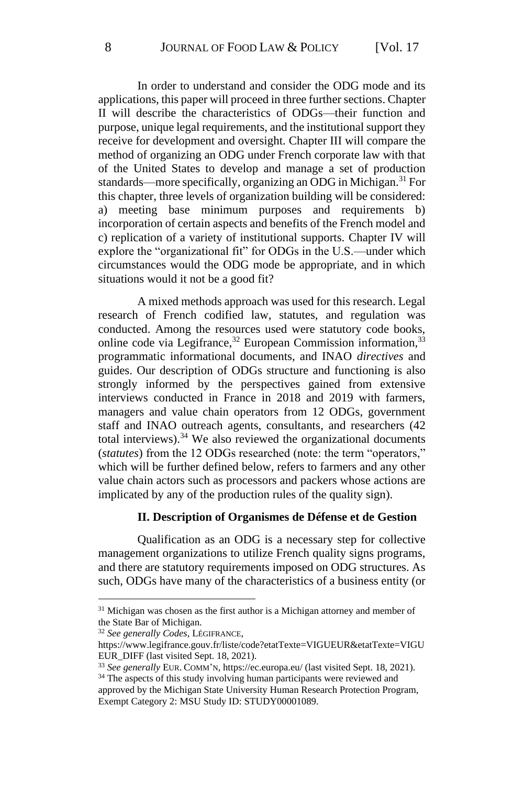In order to understand and consider the ODG mode and its applications, this paper will proceed in three further sections. Chapter II will describe the characteristics of ODGs—their function and purpose, unique legal requirements, and the institutional support they receive for development and oversight. Chapter III will compare the method of organizing an ODG under French corporate law with that of the United States to develop and manage a set of production standards—more specifically, organizing an ODG in Michigan.<sup>31</sup> For this chapter, three levels of organization building will be considered: a) meeting base minimum purposes and requirements b) incorporation of certain aspects and benefits of the French model and c) replication of a variety of institutional supports. Chapter IV will explore the "organizational fit" for ODGs in the U.S.––under which circumstances would the ODG mode be appropriate, and in which situations would it not be a good fit?

A mixed methods approach was used for this research. Legal research of French codified law, statutes, and regulation was conducted. Among the resources used were statutory code books, online code via Legifrance,  $32$  European Commission information,  $33$ programmatic informational documents, and INAO *directives* and guides. Our description of ODGs structure and functioning is also strongly informed by the perspectives gained from extensive interviews conducted in France in 2018 and 2019 with farmers, managers and value chain operators from 12 ODGs, government staff and INAO outreach agents, consultants, and researchers (42 total interviews). $34$  We also reviewed the organizational documents (*statutes*) from the 12 ODGs researched (note: the term "operators," which will be further defined below, refers to farmers and any other value chain actors such as processors and packers whose actions are implicated by any of the production rules of the quality sign).

#### **II. Description of Organismes de Défense et de Gestion**

Qualification as an ODG is a necessary step for collective management organizations to utilize French quality signs programs, and there are statutory requirements imposed on ODG structures. As such, ODGs have many of the characteristics of a business entity (or

<sup>&</sup>lt;sup>31</sup> Michigan was chosen as the first author is a Michigan attorney and member of the State Bar of Michigan.

<sup>32</sup> *See generally Codes*, LÉGIFRANCE,

https://www.legifrance.gouv.fr/liste/code?etatTexte=VIGUEUR&etatTexte=VIGU EUR\_DIFF (last visited Sept. 18, 2021).

<sup>33</sup> *See generally* EUR. COMM'N, https://ec.europa.eu/ (last visited Sept. 18, 2021).

<sup>&</sup>lt;sup>34</sup> The aspects of this study involving human participants were reviewed and approved by the Michigan State University Human Research Protection Program, Exempt Category 2: MSU Study ID: STUDY00001089.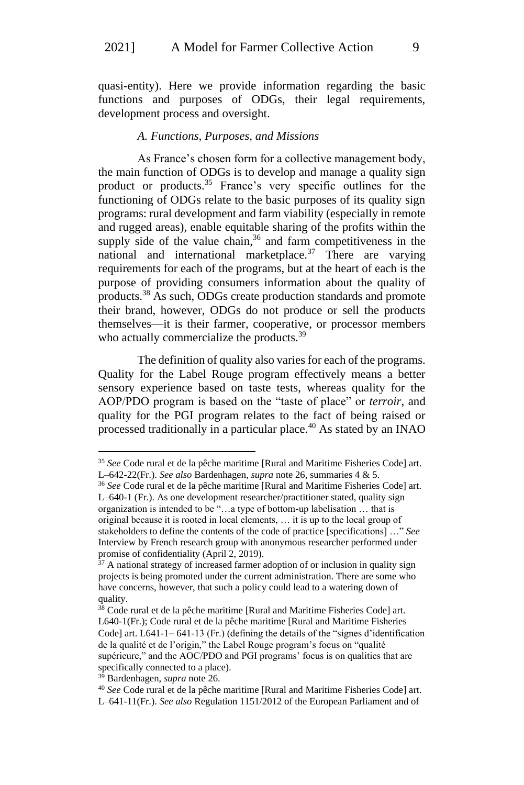quasi-entity). Here we provide information regarding the basic functions and purposes of ODGs, their legal requirements, development process and oversight.

#### *A. Functions, Purposes, and Missions*

As France's chosen form for a collective management body, the main function of ODGs is to develop and manage a quality sign product or products.<sup>35</sup> France's very specific outlines for the functioning of ODGs relate to the basic purposes of its quality sign programs: rural development and farm viability (especially in remote and rugged areas), enable equitable sharing of the profits within the supply side of the value chain, $36$  and farm competitiveness in the national and international marketplace.<sup>37</sup> There are varying requirements for each of the programs, but at the heart of each is the purpose of providing consumers information about the quality of products.<sup>38</sup> As such, ODGs create production standards and promote their brand, however, ODGs do not produce or sell the products themselves—it is their farmer, cooperative, or processor members who actually commercialize the products.<sup>39</sup>

The definition of quality also varies for each of the programs. Quality for the Label Rouge program effectively means a better sensory experience based on taste tests, whereas quality for the AOP/PDO program is based on the "taste of place" or *terroir*, and quality for the PGI program relates to the fact of being raised or processed traditionally in a particular place.<sup>40</sup> As stated by an INAO

<sup>35</sup> *See* Code rural et de la pêche maritime [Rural and Maritime Fisheries Code] art. L–642-22(Fr.). *See also* Bardenhagen, *supra* note 26, summaries 4 & 5.

<sup>36</sup> *See* Code rural et de la pêche maritime [Rural and Maritime Fisheries Code] art. L–640-1 (Fr.). As one development researcher/practitioner stated, quality sign

organization is intended to be "…a type of bottom-up labelisation … that is original because it is rooted in local elements, … it is up to the local group of stakeholders to define the contents of the code of practice [specifications] …" *See*  Interview by French research group with anonymous researcher performed under promise of confidentiality (April 2, 2019).

<sup>&</sup>lt;sup>37</sup> A national strategy of increased farmer adoption of or inclusion in quality sign projects is being promoted under the current administration. There are some who have concerns, however, that such a policy could lead to a watering down of quality.

<sup>&</sup>lt;sup>38</sup> Code rural et de la pêche maritime [Rural and Maritime Fisheries Code] art. L640-1(Fr.); Code rural et de la pêche maritime [Rural and Maritime Fisheries Code] art. L641-1− 641-13 (Fr.) (defining the details of the "signes d'identification de la qualité et de l'origin," the Label Rouge program's focus on "qualité supérieure," and the AOC/PDO and PGI programs' focus is on qualities that are specifically connected to a place).

<sup>39</sup> Bardenhagen, *supra* note 26.

<sup>40</sup> *See* Code rural et de la pêche maritime [Rural and Maritime Fisheries Code] art. L–641-11(Fr.). *See also* Regulation 1151/2012 of the European Parliament and of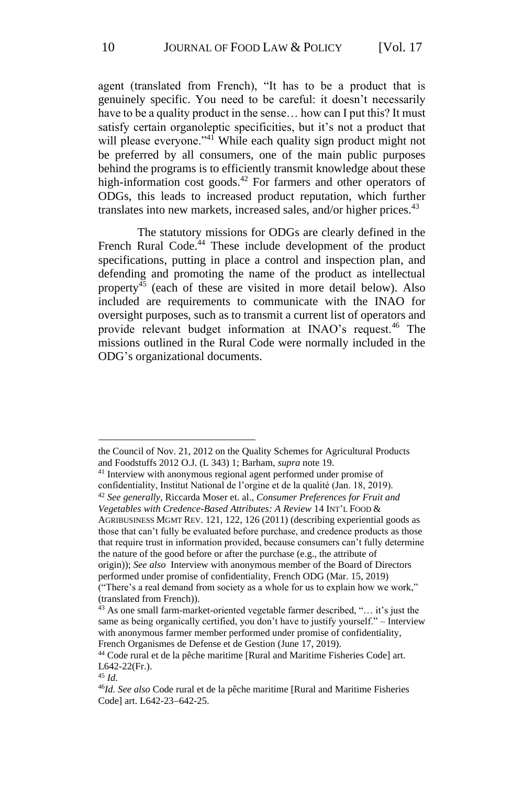agent (translated from French), "It has to be a product that is genuinely specific. You need to be careful: it doesn't necessarily have to be a quality product in the sense... how can I put this? It must satisfy certain organoleptic specificities, but it's not a product that will please everyone."<sup>41</sup> While each quality sign product might not be preferred by all consumers, one of the main public purposes behind the programs is to efficiently transmit knowledge about these high-information cost goods.<sup>42</sup> For farmers and other operators of ODGs, this leads to increased product reputation, which further translates into new markets, increased sales, and/or higher prices.<sup>43</sup>

The statutory missions for ODGs are clearly defined in the French Rural Code.<sup>44</sup> These include development of the product specifications, putting in place a control and inspection plan, and defending and promoting the name of the product as intellectual property<sup>45</sup> (each of these are visited in more detail below). Also included are requirements to communicate with the INAO for oversight purposes, such as to transmit a current list of operators and provide relevant budget information at INAO's request.<sup>46</sup> The missions outlined in the Rural Code were normally included in the ODG's organizational documents.

the Council of Nov. 21, 2012 on the Quality Schemes for Agricultural Products and Foodstuffs 2012 O.J. (L 343) 1; Barham, *supra* note 19.

<sup>&</sup>lt;sup>41</sup> Interview with anonymous regional agent performed under promise of confidentiality, Institut National de l'orgine et de la qualité (Jan. 18, 2019).

<sup>42</sup> *See generally*, Riccarda Moser et. al., *Consumer Preferences for Fruit and Vegetables with Credence-Based Attributes: A Review* 14 INT'L FOOD & AGRIBUSINESS MGMT REV. 121, 122, 126 (2011) (describing experiential goods as

those that can't fully be evaluated before purchase, and credence products as those that require trust in information provided, because consumers can't fully determine the nature of the good before or after the purchase (e.g., the attribute of origin)); *See also* Interview with anonymous member of the Board of Directors performed under promise of confidentiality, French ODG (Mar. 15, 2019)

<sup>(&</sup>quot;There's a real demand from society as a whole for us to explain how we work," (translated from French)).

<sup>43</sup> As one small farm-market-oriented vegetable farmer described, "… it's just the same as being organically certified, you don't have to justify yourself." – Interview with anonymous farmer member performed under promise of confidentiality, French Organismes de Defense et de Gestion (June 17, 2019).

<sup>44</sup> Code rural et de la pêche maritime [Rural and Maritime Fisheries Code] art. L642-22(Fr.).

<sup>45</sup> *Id*.

<sup>46</sup>*Id*. *See also* Code rural et de la pêche maritime [Rural and Maritime Fisheries Code] art. L642-23−642-25.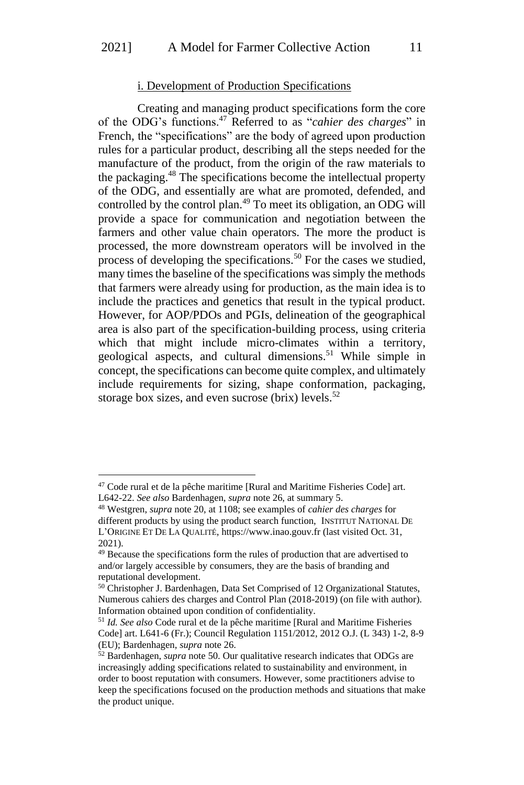#### i. Development of Production Specifications

Creating and managing product specifications form the core of the ODG's functions.<sup>47</sup> Referred to as "*cahier des charges*" in French, the "specifications" are the body of agreed upon production rules for a particular product, describing all the steps needed for the manufacture of the product, from the origin of the raw materials to the packaging.<sup>48</sup> The specifications become the intellectual property of the ODG, and essentially are what are promoted, defended, and controlled by the control plan.<sup>49</sup> To meet its obligation, an ODG will provide a space for communication and negotiation between the farmers and other value chain operators. The more the product is processed, the more downstream operators will be involved in the process of developing the specifications.<sup>50</sup> For the cases we studied, many times the baseline of the specifications was simply the methods that farmers were already using for production, as the main idea is to include the practices and genetics that result in the typical product. However, for AOP/PDOs and PGIs, delineation of the geographical area is also part of the specification-building process, using criteria which that might include micro-climates within a territory, geological aspects, and cultural dimensions. <sup>51</sup> While simple in concept, the specifications can become quite complex, and ultimately include requirements for sizing, shape conformation, packaging, storage box sizes, and even sucrose (brix) levels. $52$ 

<sup>47</sup> Code rural et de la pêche maritime [Rural and Maritime Fisheries Code] art. L642-22. *See also* Bardenhagen, *supra* note 26, at summary 5.

<sup>48</sup> Westgren, *supra* note 20, at 1108; see examples of *cahier des charges* for different products by using the product search function, INSTITUT NATIONAL DE L'ORIGINE ET DE LA QUALITÉ, https://www.inao.gouv.fr (last visited Oct. 31, 2021).

<sup>&</sup>lt;sup>49</sup> Because the specifications form the rules of production that are advertised to and/or largely accessible by consumers, they are the basis of branding and reputational development.

<sup>&</sup>lt;sup>50</sup> Christopher J. Bardenhagen, Data Set Comprised of 12 Organizational Statutes, Numerous cahiers des charges and Control Plan (2018-2019) (on file with author). Information obtained upon condition of confidentiality.

<sup>51</sup> *Id. See also* Code rural et de la pêche maritime [Rural and Maritime Fisheries Code] art. L641-6 (Fr.); Council Regulation 1151/2012, 2012 O.J. (L 343) 1-2, 8-9 (EU); Bardenhagen, *supra* note 26.

<sup>52</sup> Bardenhagen, *supra* note 50. Our qualitative research indicates that ODGs are increasingly adding specifications related to sustainability and environment, in order to boost reputation with consumers. However, some practitioners advise to keep the specifications focused on the production methods and situations that make the product unique.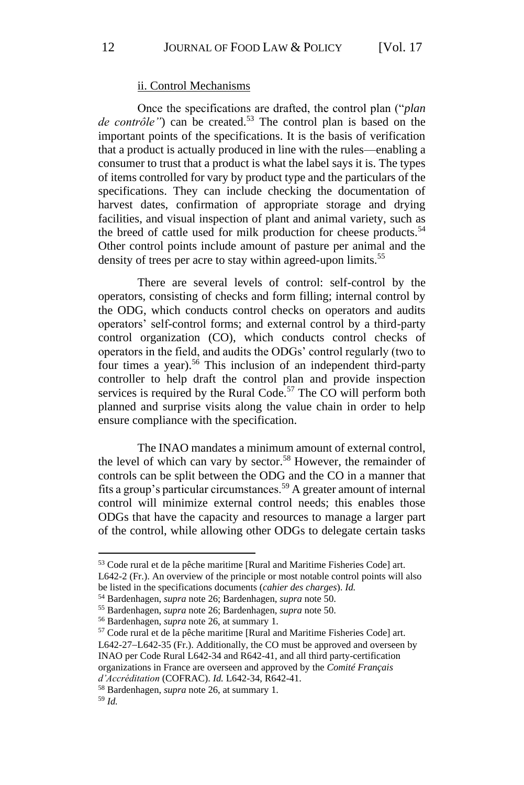#### ii. Control Mechanisms

Once the specifications are drafted, the control plan ("*plan de contrôle*") can be created.<sup>53</sup> The control plan is based on the important points of the specifications. It is the basis of verification that a product is actually produced in line with the rules—enabling a consumer to trust that a product is what the label says it is. The types of items controlled for vary by product type and the particulars of the specifications. They can include checking the documentation of harvest dates, confirmation of appropriate storage and drying facilities, and visual inspection of plant and animal variety, such as the breed of cattle used for milk production for cheese products.<sup>54</sup> Other control points include amount of pasture per animal and the density of trees per acre to stay within agreed-upon limits.<sup>55</sup>

There are several levels of control: self-control by the operators, consisting of checks and form filling; internal control by the ODG, which conducts control checks on operators and audits operators' self-control forms; and external control by a third-party control organization (CO), which conducts control checks of operators in the field, and audits the ODGs' control regularly (two to four times a year).<sup>56</sup> This inclusion of an independent third-party controller to help draft the control plan and provide inspection services is required by the Rural Code.<sup>57</sup> The CO will perform both planned and surprise visits along the value chain in order to help ensure compliance with the specification.

The INAO mandates a minimum amount of external control, the level of which can vary by sector.<sup>58</sup> However, the remainder of controls can be split between the ODG and the CO in a manner that fits a group's particular circumstances.<sup>59</sup> A greater amount of internal control will minimize external control needs; this enables those ODGs that have the capacity and resources to manage a larger part of the control, while allowing other ODGs to delegate certain tasks

<sup>53</sup> Code rural et de la pêche maritime [Rural and Maritime Fisheries Code] art.

L642-2 (Fr.). An overview of the principle or most notable control points will also be listed in the specifications documents (*cahier des charges*). *Id.*

<sup>54</sup> Bardenhagen, *supra* note 26; Bardenhagen, *supra* note 50.

<sup>55</sup> Bardenhagen, *supra* note 26; Bardenhagen, *supra* note 50.

<sup>56</sup> Bardenhagen, *supra* note 26, at summary 1.

<sup>57</sup> Code rural et de la pêche maritime [Rural and Maritime Fisheries Code] art. L642-27−L642-35 (Fr.). Additionally, the CO must be approved and overseen by INAO per Code Rural L642-34 and R642-41, and all third party-certification organizations in France are overseen and approved by the *Comité Français d'Accréditation* (COFRAC). *Id.* L642-34, R642-41.

<sup>58</sup> Bardenhagen, *supra* note 26, at summary 1.

<sup>59</sup> *Id.*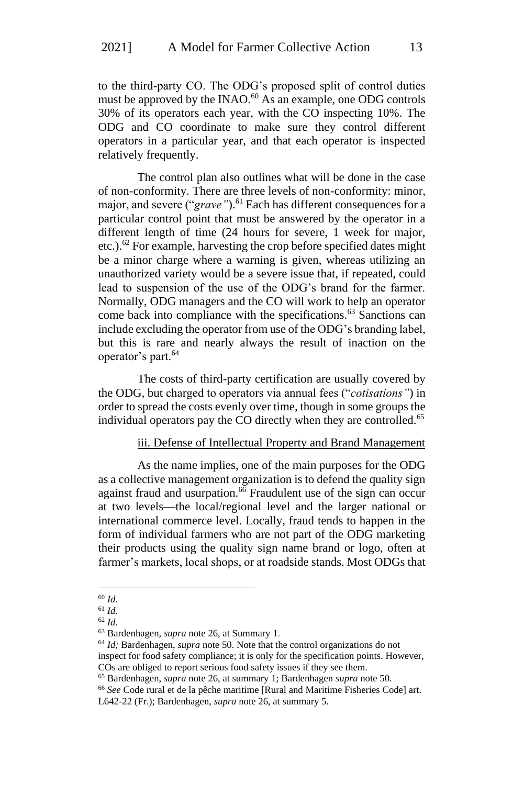to the third-party CO. The ODG's proposed split of control duties must be approved by the INAO.<sup>60</sup> As an example, one ODG controls 30% of its operators each year, with the CO inspecting 10%. The ODG and CO coordinate to make sure they control different operators in a particular year, and that each operator is inspected relatively frequently.

The control plan also outlines what will be done in the case of non-conformity. There are three levels of non-conformity: minor, major, and severe ("*grave"*). <sup>61</sup> Each has different consequences for a particular control point that must be answered by the operator in a different length of time (24 hours for severe, 1 week for major, etc.).<sup>62</sup> For example, harvesting the crop before specified dates might be a minor charge where a warning is given, whereas utilizing an unauthorized variety would be a severe issue that, if repeated, could lead to suspension of the use of the ODG's brand for the farmer. Normally, ODG managers and the CO will work to help an operator come back into compliance with the specifications.<sup>63</sup> Sanctions can include excluding the operator from use of the ODG's branding label, but this is rare and nearly always the result of inaction on the operator's part.<sup>64</sup>

The costs of third-party certification are usually covered by the ODG, but charged to operators via annual fees ("*cotisations"*) in order to spread the costs evenly over time, though in some groups the individual operators pay the CO directly when they are controlled.<sup>65</sup>

#### iii. Defense of Intellectual Property and Brand Management

As the name implies, one of the main purposes for the ODG as a collective management organization is to defend the quality sign against fraud and usurpation.<sup>66</sup> Fraudulent use of the sign can occur at two levels—the local/regional level and the larger national or international commerce level. Locally, fraud tends to happen in the form of individual farmers who are not part of the ODG marketing their products using the quality sign name brand or logo, often at farmer's markets, local shops, or at roadside stands. Most ODGs that

<sup>60</sup> *Id.*

<sup>61</sup> *Id.*

<sup>62</sup> *Id.*

<sup>63</sup> Bardenhagen, *supra* note 26, at Summary 1.

<sup>64</sup> *Id;* Bardenhagen, *supra* note 50. Note that the control organizations do not inspect for food safety compliance; it is only for the specification points. However, COs are obliged to report serious food safety issues if they see them.

<sup>65</sup> Bardenhagen, *supra* note 26, at summary 1; Bardenhagen *supra* note 50.

<sup>66</sup> *See* Code rural et de la pêche maritime [Rural and Maritime Fisheries Code] art. L642-22 (Fr.); Bardenhagen, *supra* note 26, at summary 5.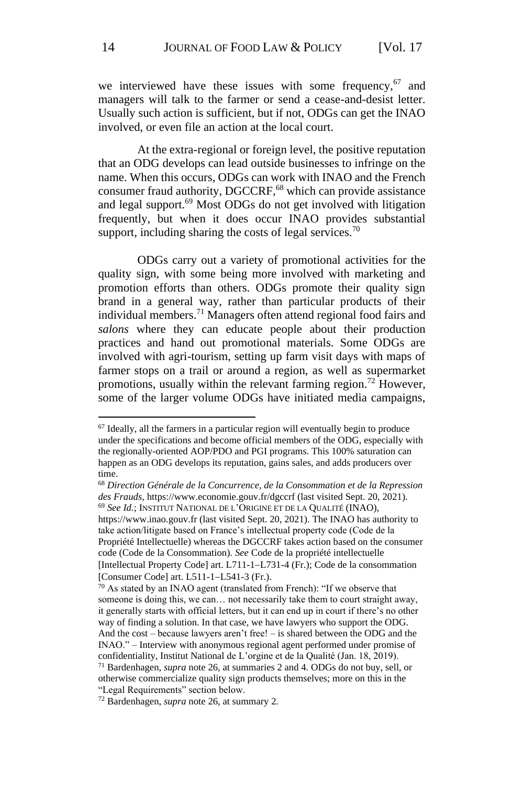we interviewed have these issues with some frequency,  $67$  and managers will talk to the farmer or send a cease-and-desist letter. Usually such action is sufficient, but if not, ODGs can get the INAO involved, or even file an action at the local court.

At the extra-regional or foreign level, the positive reputation that an ODG develops can lead outside businesses to infringe on the name. When this occurs, ODGs can work with INAO and the French consumer fraud authority, DGCCRF,<sup>68</sup> which can provide assistance and legal support. $69$  Most ODGs do not get involved with litigation frequently, but when it does occur INAO provides substantial support, including sharing the costs of legal services.<sup>70</sup>

ODGs carry out a variety of promotional activities for the quality sign, with some being more involved with marketing and promotion efforts than others. ODGs promote their quality sign brand in a general way, rather than particular products of their individual members. <sup>71</sup> Managers often attend regional food fairs and *salons* where they can educate people about their production practices and hand out promotional materials. Some ODGs are involved with agri-tourism, setting up farm visit days with maps of farmer stops on a trail or around a region, as well as supermarket promotions, usually within the relevant farming region.<sup>72</sup> However, some of the larger volume ODGs have initiated media campaigns,

<sup>68</sup> *Direction Générale de la Concurrence, de la Consommation et de la Repression des Frauds,* https://www.economie.gouv.fr/dgccrf (last visited Sept. 20, 2021). <sup>69</sup> *See Id.*; INSTITUT NATIONAL DE L'ORIGINE ET DE LA QUALITÉ (INAO),

https://www.inao.gouv.fr (last visited Sept. 20, 2021). The INAO has authority to take action/litigate based on France's intellectual property code (Code de la Propriété Intellectuelle) whereas the DGCCRF takes action based on the consumer code (Code de la Consommation). *See* Code de la propriété intellectuelle [Intellectual Property Code] art. L711-1−L731-4 (Fr.); Code de la consommation [Consumer Code] art. L511-1−L541-3 (Fr.).

 $67$  Ideally, all the farmers in a particular region will eventually begin to produce under the specifications and become official members of the ODG, especially with the regionally-oriented AOP/PDO and PGI programs. This 100% saturation can happen as an ODG develops its reputation, gains sales, and adds producers over time.

<sup>70</sup> As stated by an INAO agent (translated from French): "If we observe that someone is doing this, we can… not necessarily take them to court straight away, it generally starts with official letters, but it can end up in court if there's no other way of finding a solution. In that case, we have lawyers who support the ODG. And the cost – because lawyers aren't free! – is shared between the ODG and the INAO." – Interview with anonymous regional agent performed under promise of confidentiality, Institut National de L'orgine et de la Qualité (Jan. 18, 2019). <sup>71</sup> Bardenhagen, *supra* note 26, at summaries 2 and 4. ODGs do not buy, sell, or otherwise commercialize quality sign products themselves; more on this in the "Legal Requirements" section below.

<sup>72</sup> Bardenhagen, *supra* note 26, at summary 2.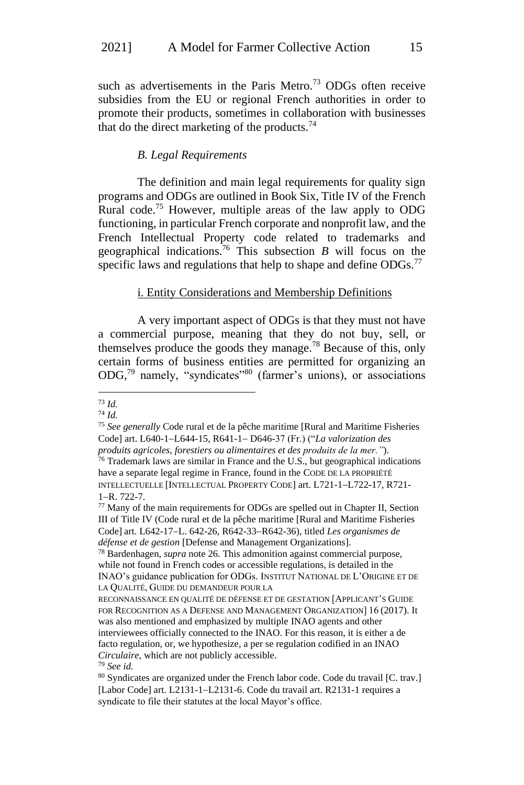such as advertisements in the Paris Metro.<sup>73</sup> ODGs often receive subsidies from the EU or regional French authorities in order to promote their products, sometimes in collaboration with businesses that do the direct marketing of the products. $74$ 

#### *B. Legal Requirements*

The definition and main legal requirements for quality sign programs and ODGs are outlined in Book Six, Title IV of the French Rural code.<sup>75</sup> However, multiple areas of the law apply to ODG functioning, in particular French corporate and nonprofit law, and the French Intellectual Property code related to trademarks and geographical indications.<sup>76</sup> This subsection *B* will focus on the specific laws and regulations that help to shape and define ODGs.<sup>77</sup>

#### i. Entity Considerations and Membership Definitions

A very important aspect of ODGs is that they must not have a commercial purpose, meaning that they do not buy, sell, or themselves produce the goods they manage.<sup>78</sup> Because of this, only certain forms of business entities are permitted for organizing an  $ODG<sub>1</sub><sup>79</sup>$  namely, "syndicates"<sup>80</sup> (farmer's unions), or associations

<sup>74</sup> *Id.*

<sup>73</sup> *Id.*

<sup>75</sup> *See generally* Code rural et de la pêche maritime [Rural and Maritime Fisheries Code] art. L640-1−L644-15, R641-1− D646-37 (Fr.) ("*La valorization des* 

*produits agricoles, forestiers ou alimentaires et des produits de la mer."*). <sup>76</sup> Trademark laws are similar in France and the U.S., but geographical indications have a separate legal regime in France, found in the CODE DE LA PROPRIÉTÉ INTELLECTUELLE [INTELLECTUAL PROPERTY CODE] art. L721-1−L722-17, R721- 1−R. 722-7.

<sup>77</sup> Many of the main requirements for ODGs are spelled out in Chapter II, Section III of Title IV (Code rural et de la pêche maritime [Rural and Maritime Fisheries Code] art. L642-17−L. 642-26, R642-33−R642-36), titled *Les organismes de défense et de gestion* [Defense and Management Organizations].

<sup>78</sup> Bardenhagen, *supra* note 26. This admonition against commercial purpose, while not found in French codes or accessible regulations, is detailed in the INAO's guidance publication for ODGs. INSTITUT NATIONAL DE L'ORIGINE ET DE LA QUALITÉ, GUIDE DU DEMANDEUR POUR LA

RECONNAISSANCE EN QUALITÉ DE DÉFENSE ET DE GESTATION [APPLICANT'S GUIDE FOR RECOGNITION AS A DEFENSE AND MANAGEMENT ORGANIZATION] 16 (2017). It was also mentioned and emphasized by multiple INAO agents and other interviewees officially connected to the INAO. For this reason, it is either a de facto regulation, or, we hypothesize, a per se regulation codified in an INAO *Circulaire*, which are not publicly accessible. <sup>79</sup> *See id.*

<sup>&</sup>lt;sup>80</sup> Syndicates are organized under the French labor code. Code du travail [C. trav.] [Labor Code] art. L2131-1−L2131-6. Code du travail art. R2131-1 requires a syndicate to file their statutes at the local Mayor's office.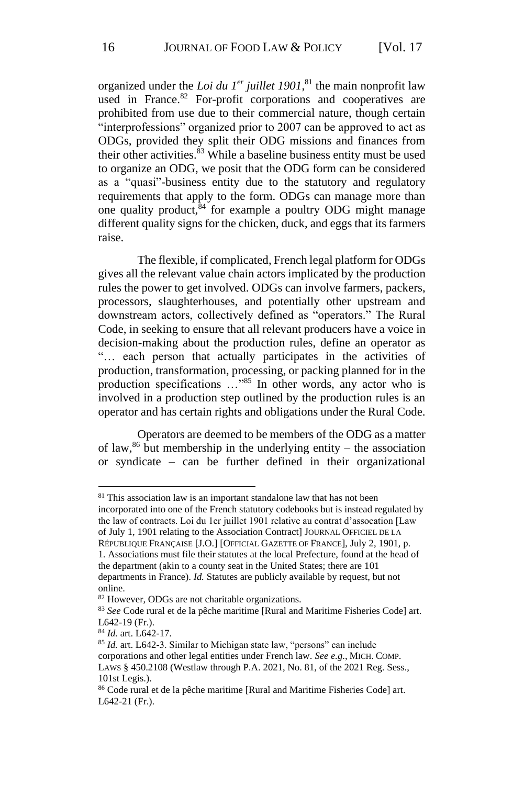organized under the *Loi du 1er juillet 1901*, <sup>81</sup> the main nonprofit law used in France.<sup>82</sup> For-profit corporations and cooperatives are prohibited from use due to their commercial nature, though certain "interprofessions" organized prior to 2007 can be approved to act as ODGs, provided they split their ODG missions and finances from their other activities. $83$  While a baseline business entity must be used to organize an ODG, we posit that the ODG form can be considered as a "quasi"-business entity due to the statutory and regulatory requirements that apply to the form. ODGs can manage more than one quality product, $84$  for example a poultry ODG might manage different quality signs for the chicken, duck, and eggs that its farmers raise.

The flexible, if complicated, French legal platform for ODGs gives all the relevant value chain actors implicated by the production rules the power to get involved. ODGs can involve farmers, packers, processors, slaughterhouses, and potentially other upstream and downstream actors, collectively defined as "operators." The Rural Code, in seeking to ensure that all relevant producers have a voice in decision-making about the production rules, define an operator as "… each person that actually participates in the activities of production, transformation, processing, or packing planned for in the production specifications ..."<sup>85</sup> In other words, any actor who is involved in a production step outlined by the production rules is an operator and has certain rights and obligations under the Rural Code.

Operators are deemed to be members of the ODG as a matter of law,<sup>86</sup> but membership in the underlying entity – the association or syndicate – can be further defined in their organizational

<sup>&</sup>lt;sup>81</sup> This association law is an important standalone law that has not been incorporated into one of the French statutory codebooks but is instead regulated by the law of contracts. Loi du 1er juillet 1901 relative au contrat d'assocation [Law of July 1, 1901 relating to the Association Contract] JOURNAL OFFICIEL DE LA RÉPUBLIQUE FRANÇAISE [J.O.] [OFFICIAL GAZETTE OF FRANCE], July 2, 1901, p. 1. Associations must file their statutes at the local Prefecture, found at the head of the department (akin to a county seat in the United States; there are 101 departments in France). *Id.* Statutes are publicly available by request, but not

online.

<sup>82</sup> However, ODGs are not charitable organizations.

<sup>83</sup> *See* Code rural et de la pêche maritime [Rural and Maritime Fisheries Code] art. L642-19 (Fr.).

<sup>84</sup> *Id.* art. L642-17.

<sup>85</sup> *Id.* art. L642-3. Similar to Michigan state law, "persons" can include corporations and other legal entities under French law. *See e.g.*, MICH. COMP. LAWS § 450.2108 (Westlaw through P.A. 2021, No. 81, of the 2021 Reg. Sess., 101st Legis.).

<sup>86</sup> Code rural et de la pêche maritime [Rural and Maritime Fisheries Code] art. L642-21 (Fr.).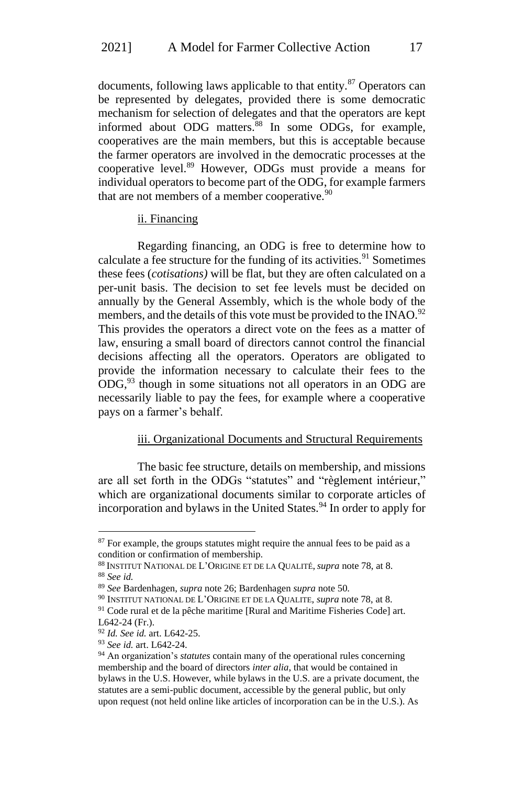documents, following laws applicable to that entity.<sup>87</sup> Operators can be represented by delegates, provided there is some democratic mechanism for selection of delegates and that the operators are kept informed about ODG matters.<sup>88</sup> In some ODGs, for example, cooperatives are the main members, but this is acceptable because the farmer operators are involved in the democratic processes at the cooperative level.<sup>89</sup> However, ODGs must provide a means for individual operators to become part of the ODG, for example farmers that are not members of a member cooperative. $90$ 

#### ii. Financing

Regarding financing, an ODG is free to determine how to calculate a fee structure for the funding of its activities.<sup>91</sup> Sometimes these fees (*cotisations)* will be flat, but they are often calculated on a per-unit basis. The decision to set fee levels must be decided on annually by the General Assembly, which is the whole body of the members, and the details of this vote must be provided to the INAO.<sup>92</sup> This provides the operators a direct vote on the fees as a matter of law, ensuring a small board of directors cannot control the financial decisions affecting all the operators. Operators are obligated to provide the information necessary to calculate their fees to the ODG,<sup>93</sup> though in some situations not all operators in an ODG are necessarily liable to pay the fees, for example where a cooperative pays on a farmer's behalf.

#### iii. Organizational Documents and Structural Requirements

The basic fee structure, details on membership, and missions are all set forth in the ODGs "statutes" and "règlement intérieur," which are organizational documents similar to corporate articles of incorporation and bylaws in the United States.<sup>94</sup> In order to apply for

 $87$  For example, the groups statutes might require the annual fees to be paid as a condition or confirmation of membership.

<sup>88</sup> INSTITUT NATIONAL DE L'ORIGINE ET DE LA QUALITÉ, *supra* note 78, at 8. <sup>88</sup> *See id.*

<sup>89</sup> *See* Bardenhagen, *supra* note 26; Bardenhagen *supra* note 50.

<sup>90</sup> INSTITUT NATIONAL DE L'ORIGINE ET DE LA QUALITE, *supra* note 78, at 8.

<sup>&</sup>lt;sup>91</sup> Code rural et de la pêche maritime [Rural and Maritime Fisheries Code] art.

L642-24 (Fr.).

<sup>92</sup> *Id. See id.* art. L642-25.

<sup>93</sup> *See id.* art. L642-24.

<sup>94</sup> An organization's *statutes* contain many of the operational rules concerning membership and the board of directors *inter alia*, that would be contained in bylaws in the U.S. However, while bylaws in the U.S. are a private document, the statutes are a semi-public document, accessible by the general public, but only upon request (not held online like articles of incorporation can be in the U.S.). As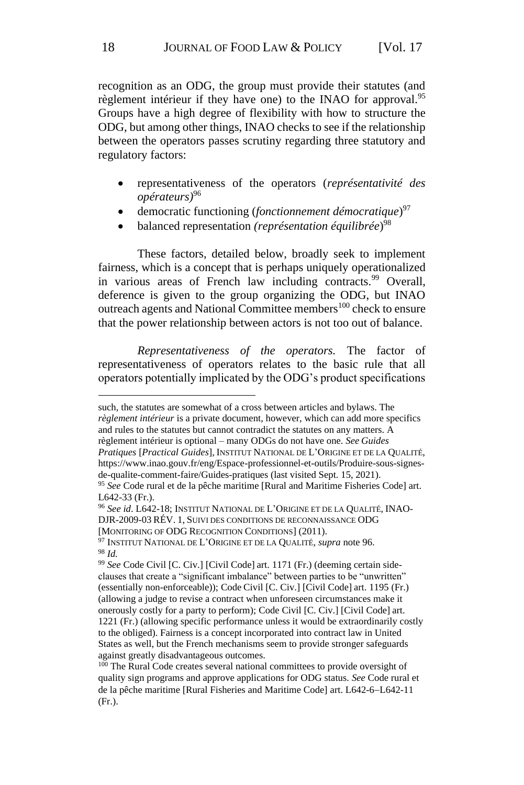recognition as an ODG, the group must provide their statutes (and règlement intérieur if they have one) to the INAO for approval.<sup>95</sup> Groups have a high degree of flexibility with how to structure the ODG, but among other things, INAO checks to see if the relationship between the operators passes scrutiny regarding three statutory and regulatory factors:

- representativeness of the operators (*représentativité des opérateurs)*<sup>96</sup>
- democratic functioning (*fonctionnement démocratique*)<sup>97</sup>
- balanced representation *(représentation équilibrée*) 98

These factors, detailed below, broadly seek to implement fairness, which is a concept that is perhaps uniquely operationalized in various areas of French law including contracts.<sup>99</sup> Overall, deference is given to the group organizing the ODG, but INAO outreach agents and National Committee members<sup>100</sup> check to ensure that the power relationship between actors is not too out of balance.

*Representativeness of the operators.* The factor of representativeness of operators relates to the basic rule that all operators potentially implicated by the ODG's product specifications

[MONITORING OF ODG RECOGNITION CONDITIONS] (2011).

such, the statutes are somewhat of a cross between articles and bylaws. The *règlement intérieur* is a private document, however, which can add more specifics and rules to the statutes but cannot contradict the statutes on any matters. A règlement intérieur is optional – many ODGs do not have one. *See Guides* 

*Pratiques* [*Practical Guides*], INSTITUT NATIONAL DE L'ORIGINE ET DE LA QUALITÉ, https://www.inao.gouv.fr/eng/Espace-professionnel-et-outils/Produire-sous-signesde-qualite-comment-faire/Guides-pratiques (last visited Sept. 15, 2021).

<sup>95</sup> *See* Code rural et de la pêche maritime [Rural and Maritime Fisheries Code] art. L642-33 (Fr.).

<sup>96</sup> *See id*. L642-18; INSTITUT NATIONAL DE L'ORIGINE ET DE LA QUALITÉ, INAO-DJR-2009-03 RÉV. 1, SUIVI DES CONDITIONS DE RECONNAISSANCE ODG

<sup>97</sup> INSTITUT NATIONAL DE L'ORIGINE ET DE LA QUALITÉ*, supra* note 96. <sup>98</sup> *Id.*

<sup>99</sup> *See* Code Civil [C. Civ.] [Civil Code] art. 1171 (Fr.) (deeming certain sideclauses that create a "significant imbalance" between parties to be "unwritten" (essentially non-enforceable)); Code Civil [C. Civ.] [Civil Code] art. 1195 (Fr.) (allowing a judge to revise a contract when unforeseen circumstances make it onerously costly for a party to perform); Code Civil [C. Civ.] [Civil Code] art. 1221 (Fr.) (allowing specific performance unless it would be extraordinarily costly to the obliged). Fairness is a concept incorporated into contract law in United States as well, but the French mechanisms seem to provide stronger safeguards against greatly disadvantageous outcomes.

<sup>&</sup>lt;sup>100</sup> The Rural Code creates several national committees to provide oversight of quality sign programs and approve applications for ODG status. *See* Code rural et de la pêche maritime [Rural Fisheries and Maritime Code] art. L642-6−L642-11 (Fr.).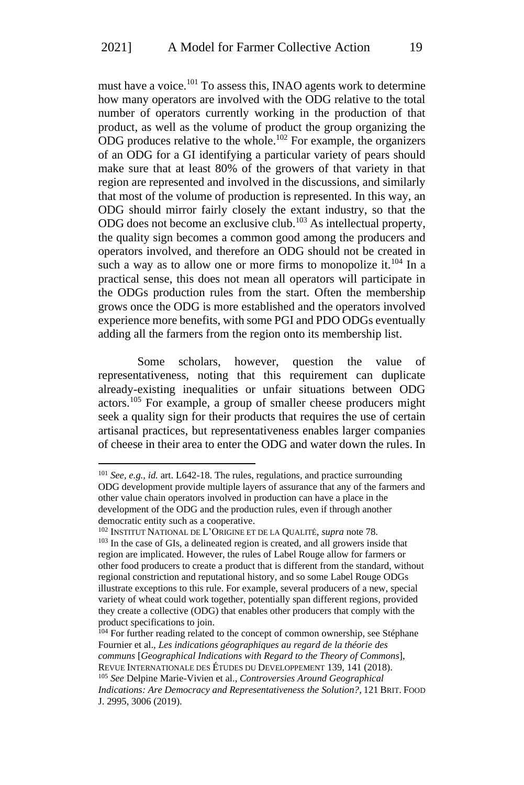must have a voice.<sup>101</sup> To assess this, INAO agents work to determine how many operators are involved with the ODG relative to the total number of operators currently working in the production of that product, as well as the volume of product the group organizing the ODG produces relative to the whole.<sup>102</sup> For example, the organizers of an ODG for a GI identifying a particular variety of pears should make sure that at least 80% of the growers of that variety in that region are represented and involved in the discussions, and similarly that most of the volume of production is represented. In this way, an ODG should mirror fairly closely the extant industry, so that the ODG does not become an exclusive club.<sup>103</sup> As intellectual property, the quality sign becomes a common good among the producers and operators involved, and therefore an ODG should not be created in such a way as to allow one or more firms to monopolize it.<sup>104</sup> In a practical sense, this does not mean all operators will participate in the ODGs production rules from the start. Often the membership grows once the ODG is more established and the operators involved experience more benefits, with some PGI and PDO ODGs eventually adding all the farmers from the region onto its membership list.

Some scholars, however, question the value of representativeness, noting that this requirement can duplicate already-existing inequalities or unfair situations between ODG actors.<sup>105</sup> For example, a group of smaller cheese producers might seek a quality sign for their products that requires the use of certain artisanal practices, but representativeness enables larger companies of cheese in their area to enter the ODG and water down the rules. In

<sup>101</sup> *See, e.g., id.* art. L642-18. The rules, regulations, and practice surrounding ODG development provide multiple layers of assurance that any of the farmers and other value chain operators involved in production can have a place in the development of the ODG and the production rules, even if through another democratic entity such as a cooperative.

<sup>102</sup> INSTITUT NATIONAL DE L'ORIGINE ET DE LA QUALITÉ, *supra* note 78. <sup>103</sup> In the case of GIs, a delineated region is created, and all growers inside that region are implicated. However, the rules of Label Rouge allow for farmers or other food producers to create a product that is different from the standard, without regional constriction and reputational history, and so some Label Rouge ODGs illustrate exceptions to this rule. For example, several producers of a new, special variety of wheat could work together, potentially span different regions, provided they create a collective (ODG) that enables other producers that comply with the product specifications to join.

<sup>&</sup>lt;sup>104</sup> For further reading related to the concept of common ownership, see Stéphane Fournier et al., *Les indications géographiques au regard de la théorie des communs* [*Geographical Indications with Regard to the Theory of Commons*], REVUE INTERNATIONALE DES ÉTUDES DU DEVELOPPEMENT 139, 141 (2018).

<sup>105</sup> *See* Delpine Marie-Vivien et al., *Controversies Around Geographical Indications: Are Democracy and Representativeness the Solution?*, 121 BRIT. FOOD J. 2995, 3006 (2019).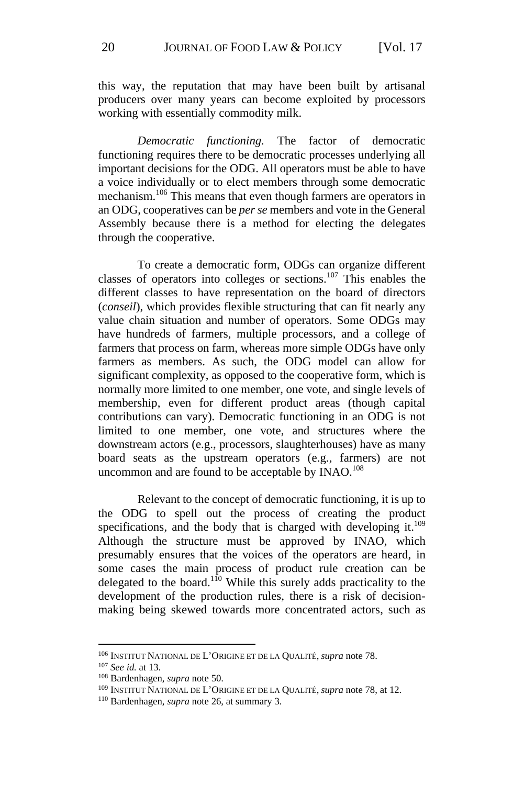this way, the reputation that may have been built by artisanal producers over many years can become exploited by processors working with essentially commodity milk.

*Democratic functioning.* The factor of democratic functioning requires there to be democratic processes underlying all important decisions for the ODG. All operators must be able to have a voice individually or to elect members through some democratic mechanism.<sup>106</sup> This means that even though farmers are operators in an ODG, cooperatives can be *per se* members and vote in the General Assembly because there is a method for electing the delegates through the cooperative.

To create a democratic form, ODGs can organize different classes of operators into colleges or sections.<sup>107</sup> This enables the different classes to have representation on the board of directors (*conseil*), which provides flexible structuring that can fit nearly any value chain situation and number of operators. Some ODGs may have hundreds of farmers, multiple processors, and a college of farmers that process on farm, whereas more simple ODGs have only farmers as members. As such, the ODG model can allow for significant complexity, as opposed to the cooperative form, which is normally more limited to one member, one vote, and single levels of membership, even for different product areas (though capital contributions can vary). Democratic functioning in an ODG is not limited to one member, one vote, and structures where the downstream actors (e.g., processors, slaughterhouses) have as many board seats as the upstream operators (e.g., farmers) are not uncommon and are found to be acceptable by  $INAO.<sup>108</sup>$ 

Relevant to the concept of democratic functioning, it is up to the ODG to spell out the process of creating the product specifications, and the body that is charged with developing it.<sup>109</sup> Although the structure must be approved by INAO, which presumably ensures that the voices of the operators are heard, in some cases the main process of product rule creation can be delegated to the board.<sup>110</sup> While this surely adds practicality to the development of the production rules, there is a risk of decisionmaking being skewed towards more concentrated actors, such as

<sup>106</sup> INSTITUT NATIONAL DE L'ORIGINE ET DE LA QUALITÉ, *supra* note 78.

<sup>107</sup> *See id.* at 13.

<sup>108</sup> Bardenhagen, *supra* note 50.

<sup>109</sup> INSTITUT NATIONAL DE L'ORIGINE ET DE LA QUALITÉ, *supra* note 78, at 12.

<sup>110</sup> Bardenhagen, *supra* note 26, at summary 3.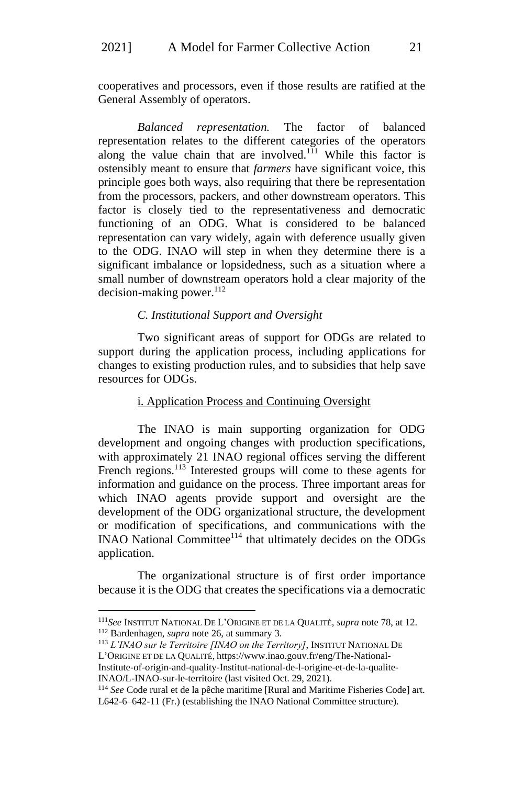cooperatives and processors, even if those results are ratified at the General Assembly of operators.

*Balanced representation.* The factor of balanced representation relates to the different categories of the operators along the value chain that are involved.<sup>111</sup> While this factor is ostensibly meant to ensure that *farmers* have significant voice, this principle goes both ways, also requiring that there be representation from the processors, packers, and other downstream operators. This factor is closely tied to the representativeness and democratic functioning of an ODG. What is considered to be balanced representation can vary widely, again with deference usually given to the ODG. INAO will step in when they determine there is a significant imbalance or lopsidedness, such as a situation where a small number of downstream operators hold a clear majority of the  $decision-making power.<sup>112</sup>$ 

#### *C. Institutional Support and Oversight*

Two significant areas of support for ODGs are related to support during the application process, including applications for changes to existing production rules, and to subsidies that help save resources for ODGs.

## i. Application Process and Continuing Oversight

The INAO is main supporting organization for ODG development and ongoing changes with production specifications, with approximately 21 INAO regional offices serving the different French regions.<sup>113</sup> Interested groups will come to these agents for information and guidance on the process. Three important areas for which INAO agents provide support and oversight are the development of the ODG organizational structure, the development or modification of specifications, and communications with the INAO National Committee<sup>114</sup> that ultimately decides on the ODGs application.

The organizational structure is of first order importance because it is the ODG that creates the specifications via a democratic

<sup>111</sup>*See* INSTITUT NATIONAL DE L'ORIGINE ET DE LA QUALITÉ, *supra* note 78, at 12. <sup>112</sup> Bardenhagen, *supra* note 26, at summary 3.

<sup>113</sup> *L'INAO sur le Territoire [INAO on the Territory]*, INSTITUT NATIONAL DE L'ORIGINE ET DE LA QUALITÉ, https://www.inao.gouv.fr/eng/The-National-

Institute-of-origin-and-quality-Institut-national-de-l-origine-et-de-la-qualite-INAO/L-INAO-sur-le-territoire (last visited Oct. 29, 2021).

<sup>114</sup> *See* Code rural et de la pêche maritime [Rural and Maritime Fisheries Code] art. L642-6–642-11 (Fr.) (establishing the INAO National Committee structure).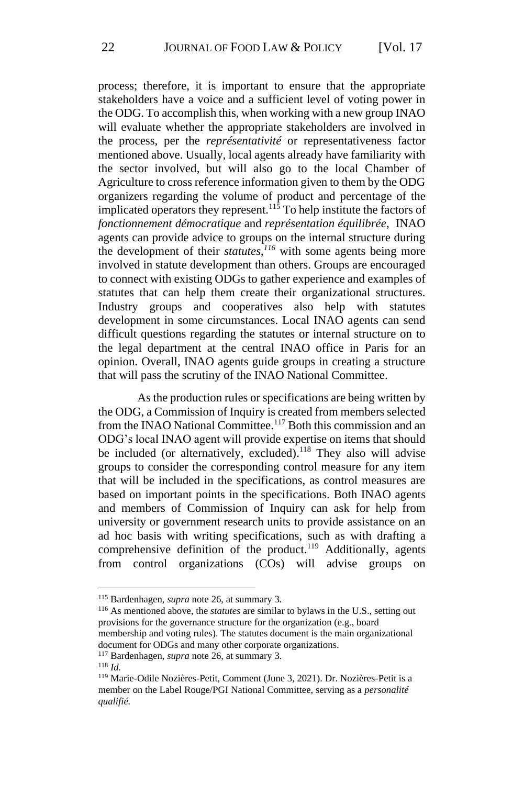process; therefore, it is important to ensure that the appropriate stakeholders have a voice and a sufficient level of voting power in the ODG. To accomplish this, when working with a new group INAO will evaluate whether the appropriate stakeholders are involved in the process, per the *représentativité* or representativeness factor mentioned above. Usually, local agents already have familiarity with the sector involved, but will also go to the local Chamber of Agriculture to cross reference information given to them by the ODG organizers regarding the volume of product and percentage of the implicated operators they represent.<sup>115</sup> To help institute the factors of *fonctionnement démocratique* and *représentation équilibrée,* INAO agents can provide advice to groups on the internal structure during the development of their *statutes*, *<sup>116</sup>* with some agents being more involved in statute development than others. Groups are encouraged to connect with existing ODGs to gather experience and examples of statutes that can help them create their organizational structures. Industry groups and cooperatives also help with statutes development in some circumstances. Local INAO agents can send difficult questions regarding the statutes or internal structure on to the legal department at the central INAO office in Paris for an opinion. Overall, INAO agents guide groups in creating a structure that will pass the scrutiny of the INAO National Committee.

As the production rules or specifications are being written by the ODG, a Commission of Inquiry is created from members selected from the INAO National Committee.<sup>117</sup> Both this commission and an ODG's local INAO agent will provide expertise on items that should be included (or alternatively, excluded).<sup>118</sup> They also will advise groups to consider the corresponding control measure for any item that will be included in the specifications, as control measures are based on important points in the specifications. Both INAO agents and members of Commission of Inquiry can ask for help from university or government research units to provide assistance on an ad hoc basis with writing specifications, such as with drafting a comprehensive definition of the product.<sup>119</sup> Additionally, agents from control organizations (COs) will advise groups on

<sup>115</sup> Bardenhagen, *supra* note 26, at summary 3.

<sup>116</sup> As mentioned above, the *statutes* are similar to bylaws in the U.S., setting out provisions for the governance structure for the organization (e.g., board membership and voting rules). The statutes document is the main organizational document for ODGs and many other corporate organizations.

<sup>117</sup> Bardenhagen, *supra* note 26, at summary 3.

<sup>118</sup> *Id.*

<sup>119</sup> Marie-Odile Nozières-Petit, Comment (June 3, 2021). Dr. Nozières-Petit is a member on the Label Rouge/PGI National Committee, serving as a *personalité qualifié.*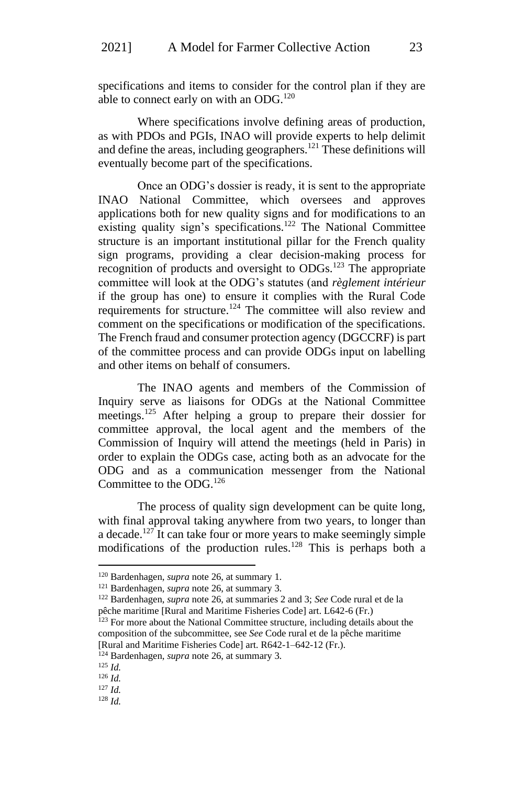specifications and items to consider for the control plan if they are able to connect early on with an ODG.<sup>120</sup>

Where specifications involve defining areas of production, as with PDOs and PGIs, INAO will provide experts to help delimit and define the areas, including geographers.<sup>121</sup> These definitions will eventually become part of the specifications.

Once an ODG's dossier is ready, it is sent to the appropriate INAO National Committee, which oversees and approves applications both for new quality signs and for modifications to an existing quality sign's specifications.<sup>122</sup> The National Committee structure is an important institutional pillar for the French quality sign programs, providing a clear decision-making process for recognition of products and oversight to ODGs.<sup>123</sup> The appropriate committee will look at the ODG's statutes (and *règlement intérieur* if the group has one) to ensure it complies with the Rural Code requirements for structure.<sup>124</sup> The committee will also review and comment on the specifications or modification of the specifications. The French fraud and consumer protection agency (DGCCRF) is part of the committee process and can provide ODGs input on labelling and other items on behalf of consumers.

The INAO agents and members of the Commission of Inquiry serve as liaisons for ODGs at the National Committee meetings.<sup>125</sup> After helping a group to prepare their dossier for committee approval, the local agent and the members of the Commission of Inquiry will attend the meetings (held in Paris) in order to explain the ODGs case, acting both as an advocate for the ODG and as a communication messenger from the National Committee to the ODG.<sup>126</sup>

The process of quality sign development can be quite long, with final approval taking anywhere from two years, to longer than a decade.<sup>127</sup> It can take four or more years to make seemingly simple modifications of the production rules.<sup>128</sup> This is perhaps both a

<sup>120</sup> Bardenhagen, *supra* note 26, at summary 1.

<sup>121</sup> Bardenhagen, *supra* note 26, at summary 3.

<sup>122</sup> Bardenhagen, *supra* note 26, at summaries 2 and 3; *See* Code rural et de la pêche maritime [Rural and Maritime Fisheries Code] art. L642-6 (Fr.)

<sup>&</sup>lt;sup>123</sup> For more about the National Committee structure, including details about the composition of the subcommittee, see *See* Code rural et de la pêche maritime [Rural and Maritime Fisheries Code] art. R642-1–642-12 (Fr.).

<sup>124</sup> Bardenhagen, *supra* note 26, at summary 3.

<sup>125</sup> *Id.*

<sup>126</sup> *Id.*

<sup>127</sup> *Id.*

<sup>128</sup> *Id.*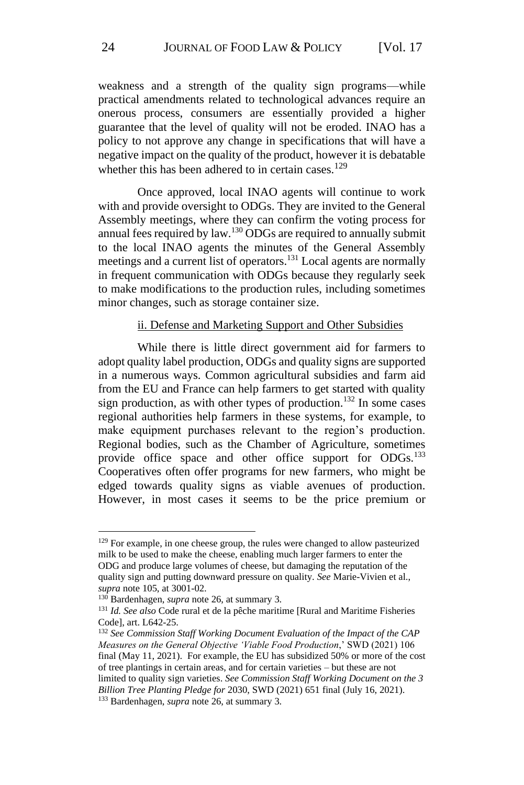weakness and a strength of the quality sign programs—while practical amendments related to technological advances require an onerous process, consumers are essentially provided a higher guarantee that the level of quality will not be eroded. INAO has a policy to not approve any change in specifications that will have a negative impact on the quality of the product, however it is debatable whether this has been adhered to in certain cases.<sup>129</sup>

Once approved, local INAO agents will continue to work with and provide oversight to ODGs. They are invited to the General Assembly meetings, where they can confirm the voting process for annual fees required by law.<sup>130</sup> ODGs are required to annually submit to the local INAO agents the minutes of the General Assembly meetings and a current list of operators.<sup>131</sup> Local agents are normally in frequent communication with ODGs because they regularly seek to make modifications to the production rules, including sometimes minor changes, such as storage container size.

#### ii. Defense and Marketing Support and Other Subsidies

While there is little direct government aid for farmers to adopt quality label production, ODGs and quality signs are supported in a numerous ways. Common agricultural subsidies and farm aid from the EU and France can help farmers to get started with quality sign production, as with other types of production.<sup>132</sup> In some cases regional authorities help farmers in these systems, for example, to make equipment purchases relevant to the region's production. Regional bodies, such as the Chamber of Agriculture, sometimes provide office space and other office support for ODGs.<sup>133</sup> Cooperatives often offer programs for new farmers, who might be edged towards quality signs as viable avenues of production. However, in most cases it seems to be the price premium or

 $129$  For example, in one cheese group, the rules were changed to allow pasteurized milk to be used to make the cheese, enabling much larger farmers to enter the ODG and produce large volumes of cheese, but damaging the reputation of the quality sign and putting downward pressure on quality. *See* Marie-Vivien et al., *supra* note 105, at 3001-02.

<sup>130</sup> Bardenhagen, *supra* note 26, at summary 3.

<sup>131</sup> *Id. See also* Code rural et de la pêche maritime [Rural and Maritime Fisheries Code], art. L642-25.

<sup>132</sup> *See Commission Staff Working Document Evaluation of the Impact of the CAP Measures on the General Objective 'Viable Food Production*,' SWD (2021) 106 final (May 11, 2021). For example, the EU has subsidized 50% or more of the cost of tree plantings in certain areas, and for certain varieties – but these are not limited to quality sign varieties. *See Commission Staff Working Document on the 3 Billion Tree Planting Pledge for* 2030, SWD (2021) 651 final (July 16, 2021). <sup>133</sup> Bardenhagen, *supra* note 26, at summary 3.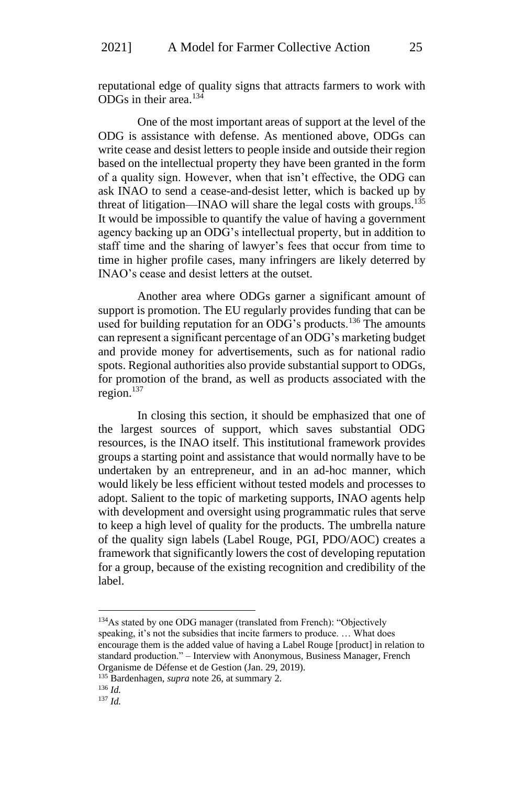reputational edge of quality signs that attracts farmers to work with ODGs in their area.<sup>134</sup>

One of the most important areas of support at the level of the ODG is assistance with defense. As mentioned above, ODGs can write cease and desist letters to people inside and outside their region based on the intellectual property they have been granted in the form of a quality sign. However, when that isn't effective, the ODG can ask INAO to send a cease-and-desist letter, which is backed up by threat of litigation—INAO will share the legal costs with groups.<sup>135</sup> It would be impossible to quantify the value of having a government agency backing up an ODG's intellectual property, but in addition to staff time and the sharing of lawyer's fees that occur from time to time in higher profile cases, many infringers are likely deterred by INAO's cease and desist letters at the outset.

Another area where ODGs garner a significant amount of support is promotion. The EU regularly provides funding that can be used for building reputation for an ODG's products.<sup>136</sup> The amounts can represent a significant percentage of an ODG's marketing budget and provide money for advertisements, such as for national radio spots. Regional authorities also provide substantial support to ODGs, for promotion of the brand, as well as products associated with the region.<sup>137</sup>

In closing this section, it should be emphasized that one of the largest sources of support, which saves substantial ODG resources, is the INAO itself. This institutional framework provides groups a starting point and assistance that would normally have to be undertaken by an entrepreneur, and in an ad-hoc manner, which would likely be less efficient without tested models and processes to adopt. Salient to the topic of marketing supports, INAO agents help with development and oversight using programmatic rules that serve to keep a high level of quality for the products. The umbrella nature of the quality sign labels (Label Rouge, PGI, PDO/AOC) creates a framework that significantly lowers the cost of developing reputation for a group, because of the existing recognition and credibility of the label.

<sup>134</sup>As stated by one ODG manager (translated from French): "Objectively speaking, it's not the subsidies that incite farmers to produce. … What does encourage them is the added value of having a Label Rouge [product] in relation to standard production." – Interview with Anonymous, Business Manager, French Organisme de Défense et de Gestion (Jan. 29, 2019).

<sup>135</sup> Bardenhagen, *supra* note 26, at summary 2.

<sup>136</sup> *Id.*

<sup>137</sup> *Id.*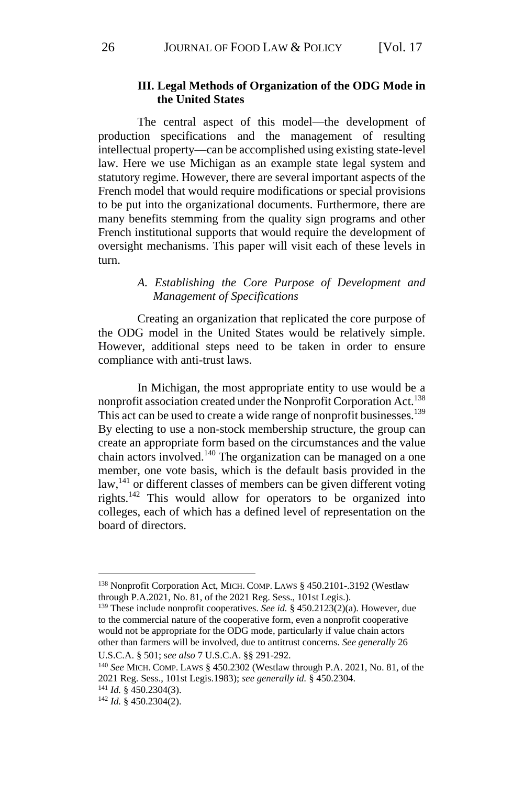#### **III. Legal Methods of Organization of the ODG Mode in the United States**

The central aspect of this model—the development of production specifications and the management of resulting intellectual property—can be accomplished using existing state-level law. Here we use Michigan as an example state legal system and statutory regime. However, there are several important aspects of the French model that would require modifications or special provisions to be put into the organizational documents. Furthermore, there are many benefits stemming from the quality sign programs and other French institutional supports that would require the development of oversight mechanisms. This paper will visit each of these levels in turn.

## *A. Establishing the Core Purpose of Development and Management of Specifications*

Creating an organization that replicated the core purpose of the ODG model in the United States would be relatively simple. However, additional steps need to be taken in order to ensure compliance with anti-trust laws.

In Michigan, the most appropriate entity to use would be a nonprofit association created under the Nonprofit Corporation Act.<sup>138</sup> This act can be used to create a wide range of nonprofit businesses.<sup>139</sup> By electing to use a non-stock membership structure, the group can create an appropriate form based on the circumstances and the value chain actors involved.<sup>140</sup> The organization can be managed on a one member, one vote basis, which is the default basis provided in the law,<sup>141</sup> or different classes of members can be given different voting rights.<sup>142</sup> This would allow for operators to be organized into colleges, each of which has a defined level of representation on the board of directors.

<sup>138</sup> Nonprofit Corporation Act, MICH. COMP. LAWS § 450.2101-.3192 (Westlaw through P.A.2021, No. 81, of the 2021 Reg. Sess., 101st Legis.).

<sup>139</sup> These include nonprofit cooperatives. *See id.* § 450.2123(2)(a). However, due to the commercial nature of the cooperative form, even a nonprofit cooperative would not be appropriate for the ODG mode, particularly if value chain actors other than farmers will be involved, due to antitrust concerns. *See generally* 26

U.S.C.A. § 501; s*ee also* 7 U.S.C.A. §§ 291-292.

<sup>140</sup> *See* MICH. COMP. LAWS § 450.2302 (Westlaw through P.A. 2021, No. 81, of the 2021 Reg. Sess., 101st Legis.1983); *see generally id.* § 450.2304.

<sup>141</sup> *Id.* § 450.2304(3).

<sup>142</sup> *Id.* § 450.2304(2).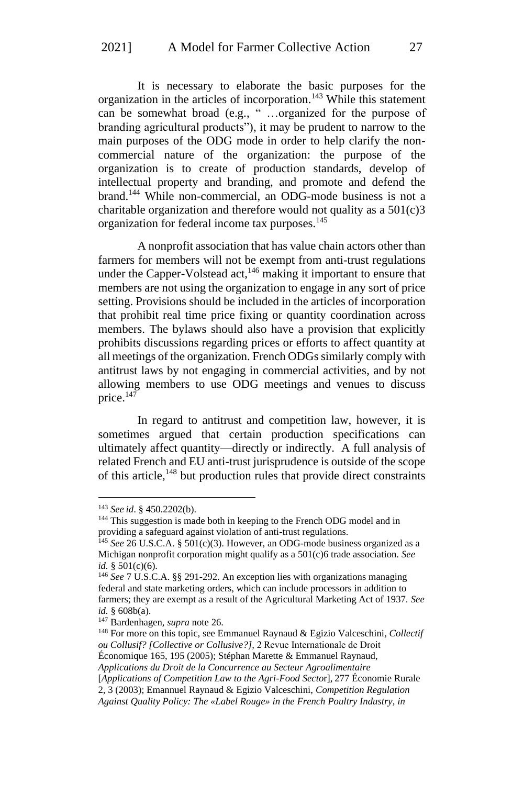It is necessary to elaborate the basic purposes for the organization in the articles of incorporation.<sup>143</sup> While this statement can be somewhat broad (e.g., " …organized for the purpose of branding agricultural products"), it may be prudent to narrow to the main purposes of the ODG mode in order to help clarify the noncommercial nature of the organization: the purpose of the organization is to create of production standards, develop of intellectual property and branding, and promote and defend the brand.<sup>144</sup> While non-commercial, an ODG-mode business is not a charitable organization and therefore would not quality as a  $501(c)3$ organization for federal income tax purposes.<sup>145</sup>

A nonprofit association that has value chain actors other than farmers for members will not be exempt from anti-trust regulations under the Capper-Volstead act,  $146$  making it important to ensure that members are not using the organization to engage in any sort of price setting. Provisions should be included in the articles of incorporation that prohibit real time price fixing or quantity coordination across members. The bylaws should also have a provision that explicitly prohibits discussions regarding prices or efforts to affect quantity at all meetings of the organization. French ODGs similarly comply with antitrust laws by not engaging in commercial activities, and by not allowing members to use ODG meetings and venues to discuss price.<sup>147</sup>

In regard to antitrust and competition law, however, it is sometimes argued that certain production specifications can ultimately affect quantity—directly or indirectly. A full analysis of related French and EU anti-trust jurisprudence is outside of the scope of this article, $148$  but production rules that provide direct constraints

[*Applications of Competition Law to the Agri-Food Secto*r], 277 Économie Rurale

<sup>143</sup> *See id*. § 450.2202(b).

<sup>&</sup>lt;sup>144</sup> This suggestion is made both in keeping to the French ODG model and in providing a safeguard against violation of anti-trust regulations.

<sup>145</sup> *See* 26 U.S.C.A. § 501(c)(3). However, an ODG-mode business organized as a Michigan nonprofit corporation might qualify as a 501(c)6 trade association. *See id.* § 501(c)(6).

<sup>146</sup> *See* 7 U.S.C.A. §§ 291-292. An exception lies with organizations managing federal and state marketing orders, which can include processors in addition to farmers; they are exempt as a result of the Agricultural Marketing Act of 1937. *See id.* § 608b(a).

<sup>147</sup> Bardenhagen, *supra* note 26.

<sup>148</sup> For more on this topic, see Emmanuel Raynaud & Egizio Valceschini*, Collectif ou Collusif? [Collective or Collusive?],* 2 Revue Internationale de Droit Économique 165, 195 (2005); Stéphan Marette & Emmanuel Raynaud,

*Applications du Droit de la Concurrence au Secteur Agroalimentaire* 

<sup>2, 3 (2003);</sup> Emannuel Raynaud & Egizio Valceschini, *Competition Regulation Against Quality Policy: The «Label Rouge» in the French Poultry Industry*, *in*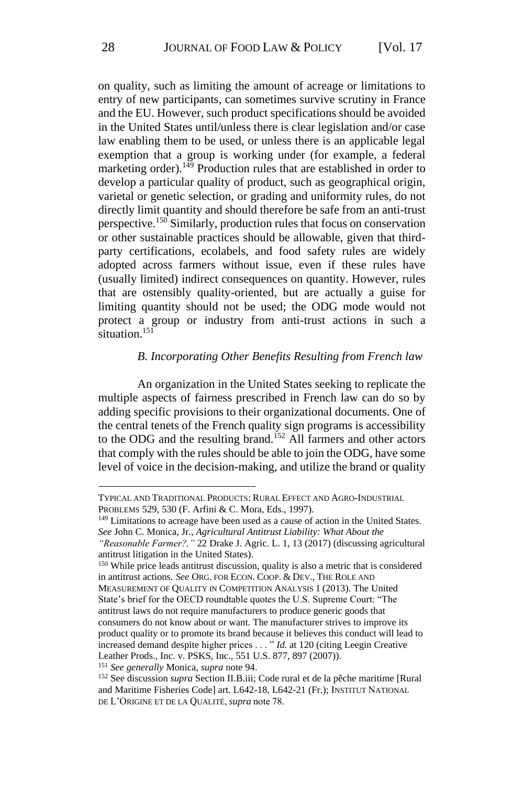on quality, such as limiting the amount of acreage or limitations to entry of new participants, can sometimes survive scrutiny in France and the EU. However, such product specifications should be avoided in the United States until/unless there is clear legislation and/or case law enabling them to be used, or unless there is an applicable legal exemption that a group is working under (for example, a federal marketing order).<sup>149</sup> Production rules that are established in order to develop a particular quality of product, such as geographical origin, varietal or genetic selection, or grading and uniformity rules, do not directly limit quantity and should therefore be safe from an anti-trust perspective.<sup>150</sup> Similarly, production rules that focus on conservation or other sustainable practices should be allowable, given that thirdparty certifications, ecolabels, and food safety rules are widely adopted across farmers without issue, even if these rules have (usually limited) indirect consequences on quantity. However, rules that are ostensibly quality-oriented, but are actually a guise for limiting quantity should not be used; the ODG mode would not protect a group or industry from anti-trust actions in such a situation.<sup>151</sup>

#### *B. Incorporating Other Benefits Resulting from French law*

An organization in the United States seeking to replicate the multiple aspects of fairness prescribed in French law can do so by adding specific provisions to their organizational documents. One of the central tenets of the French quality sign programs is accessibility to the ODG and the resulting brand.<sup>152</sup> All farmers and other actors that comply with the rules should be able to join the ODG, have some level of voice in the decision-making, and utilize the brand or quality

Leather Prods., Inc. v. PSKS, Inc., 551 U.S. 877, 897 (2007)).

<sup>151</sup> *See generally* Monica, *supra* note 94.

TYPICAL AND TRADITIONAL PRODUCTS: RURAL EFFECT AND AGRO-INDUSTRIAL PROBLEMS 529, 530 (F. Arfini & C. Mora, Eds., 1997).

<sup>&</sup>lt;sup>149</sup> Limitations to acreage have been used as a cause of action in the United States. *See* John C. Monica, Jr., *Agricultural Antitrust Liability: What About the* 

*<sup>&</sup>quot;Reasonable Farmer?,"* 22 Drake J. Agric. L. 1, 13 (2017) (discussing agricultural antitrust litigation in the United States).

<sup>150</sup> While price leads antitrust discussion, quality is also a metric that is considered in antitrust actions. *See* ORG. FOR ECON. COOP. & DEV., THE ROLE AND MEASUREMENT OF QUALITY IN COMPETITION ANALYSIS 1 (2013). The United State's brief for the OECD roundtable quotes the U.S. Supreme Court: "The antitrust laws do not require manufacturers to produce generic goods that consumers do not know about or want. The manufacturer strives to improve its product quality or to promote its brand because it believes this conduct will lead to increased demand despite higher prices . . . " *Id.* at 120 (citing Leegin Creative

<sup>152</sup> See discussion *supra* Section II.B.iii; Code rural et de la pêche maritime [Rural and Maritime Fisheries Code] art. L642-18, L642-21 (Fr.); INSTITUT NATIONAL DE L'ORIGINE ET DE LA QUALITÉ, *supra* note 78.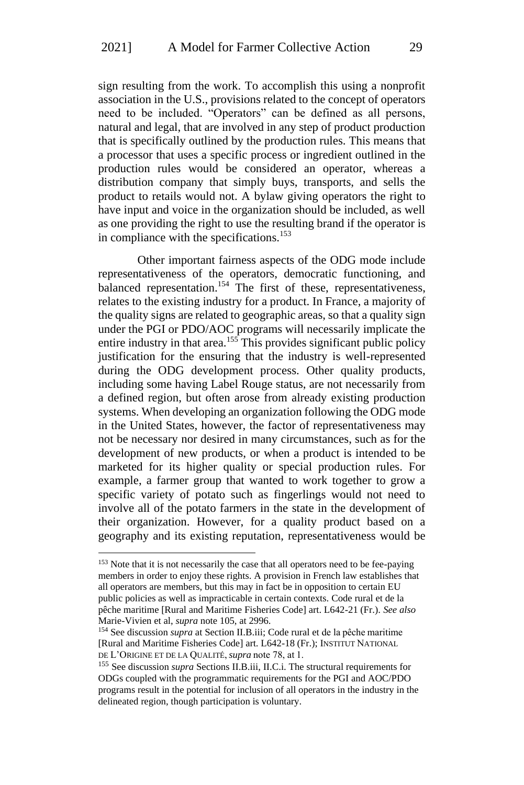sign resulting from the work. To accomplish this using a nonprofit association in the U.S., provisions related to the concept of operators need to be included. "Operators" can be defined as all persons, natural and legal, that are involved in any step of product production that is specifically outlined by the production rules. This means that a processor that uses a specific process or ingredient outlined in the production rules would be considered an operator, whereas a distribution company that simply buys, transports, and sells the product to retails would not. A bylaw giving operators the right to have input and voice in the organization should be included, as well as one providing the right to use the resulting brand if the operator is in compliance with the specifications.<sup>153</sup>

Other important fairness aspects of the ODG mode include representativeness of the operators, democratic functioning, and balanced representation.<sup>154</sup> The first of these, representativeness, relates to the existing industry for a product. In France, a majority of the quality signs are related to geographic areas, so that a quality sign under the PGI or PDO/AOC programs will necessarily implicate the entire industry in that area.<sup>155</sup> This provides significant public policy justification for the ensuring that the industry is well-represented during the ODG development process. Other quality products, including some having Label Rouge status, are not necessarily from a defined region, but often arose from already existing production systems. When developing an organization following the ODG mode in the United States, however, the factor of representativeness may not be necessary nor desired in many circumstances, such as for the development of new products, or when a product is intended to be marketed for its higher quality or special production rules. For example, a farmer group that wanted to work together to grow a specific variety of potato such as fingerlings would not need to involve all of the potato farmers in the state in the development of their organization. However, for a quality product based on a geography and its existing reputation, representativeness would be

<sup>&</sup>lt;sup>153</sup> Note that it is not necessarily the case that all operators need to be fee-paying members in order to enjoy these rights. A provision in French law establishes that all operators are members, but this may in fact be in opposition to certain EU public policies as well as impracticable in certain contexts. Code rural et de la pêche maritime [Rural and Maritime Fisheries Code] art. L642-21 (Fr.). *See also* Marie-Vivien et al, *supra* note 105, at 2996.

<sup>154</sup> See discussion *supra* at Section II.B.iii; Code rural et de la pêche maritime [Rural and Maritime Fisheries Code] art. L642-18 (Fr.); INSTITUT NATIONAL DE L'ORIGINE ET DE LA QUALITÉ, *supra* note 78, at 1.

<sup>155</sup> See discussion *supra* Sections II.B.iii, II.C.i. The structural requirements for ODGs coupled with the programmatic requirements for the PGI and AOC/PDO programs result in the potential for inclusion of all operators in the industry in the delineated region, though participation is voluntary.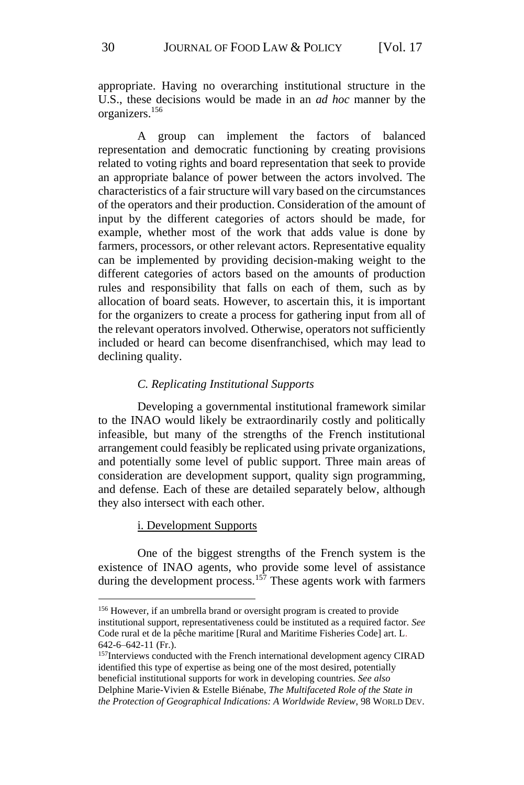appropriate. Having no overarching institutional structure in the U.S., these decisions would be made in an *ad hoc* manner by the organizers.<sup>156</sup>

A group can implement the factors of balanced representation and democratic functioning by creating provisions related to voting rights and board representation that seek to provide an appropriate balance of power between the actors involved. The characteristics of a fair structure will vary based on the circumstances of the operators and their production. Consideration of the amount of input by the different categories of actors should be made, for example, whether most of the work that adds value is done by farmers, processors, or other relevant actors. Representative equality can be implemented by providing decision-making weight to the different categories of actors based on the amounts of production rules and responsibility that falls on each of them, such as by allocation of board seats. However, to ascertain this, it is important for the organizers to create a process for gathering input from all of the relevant operators involved. Otherwise, operators not sufficiently included or heard can become disenfranchised, which may lead to declining quality.

#### *C. Replicating Institutional Supports*

Developing a governmental institutional framework similar to the INAO would likely be extraordinarily costly and politically infeasible, but many of the strengths of the French institutional arrangement could feasibly be replicated using private organizations, and potentially some level of public support. Three main areas of consideration are development support, quality sign programming, and defense. Each of these are detailed separately below, although they also intersect with each other.

#### i. Development Supports

One of the biggest strengths of the French system is the existence of INAO agents, who provide some level of assistance during the development process.<sup>157</sup> These agents work with farmers

<sup>156</sup> However, if an umbrella brand or oversight program is created to provide institutional support, representativeness could be instituted as a required factor. *See*  Code rural et de la pêche maritime [Rural and Maritime Fisheries Code] art. L. 642-6–642-11 (Fr.).

<sup>157</sup>Interviews conducted with the French international development agency CIRAD identified this type of expertise as being one of the most desired, potentially beneficial institutional supports for work in developing countries. *See also*  Delphine Marie-Vivien & Estelle Biénabe, *The Multifaceted Role of the State in the Protection of Geographical Indications: A Worldwide Review*, 98 WORLD DEV.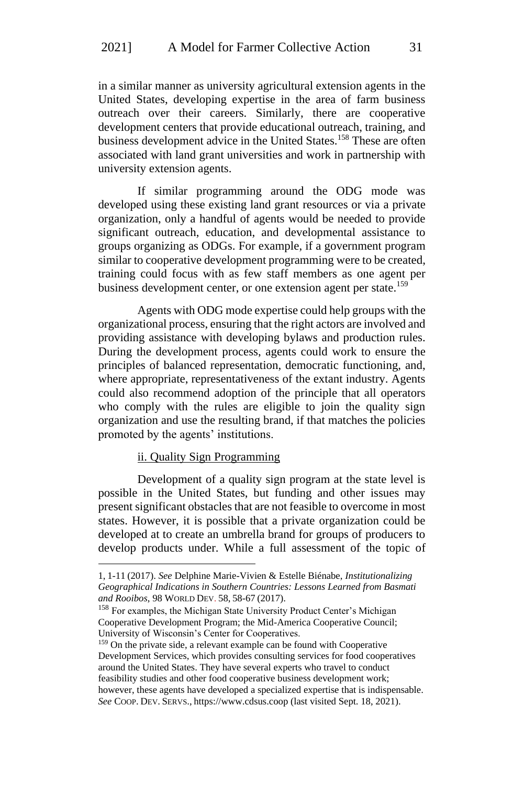in a similar manner as university agricultural extension agents in the United States, developing expertise in the area of farm business outreach over their careers. Similarly, there are cooperative development centers that provide educational outreach, training, and business development advice in the United States.<sup>158</sup> These are often associated with land grant universities and work in partnership with university extension agents.

If similar programming around the ODG mode was developed using these existing land grant resources or via a private organization, only a handful of agents would be needed to provide significant outreach, education, and developmental assistance to groups organizing as ODGs. For example, if a government program similar to cooperative development programming were to be created, training could focus with as few staff members as one agent per business development center, or one extension agent per state.<sup>159</sup>

Agents with ODG mode expertise could help groups with the organizational process, ensuring that the right actors are involved and providing assistance with developing bylaws and production rules. During the development process, agents could work to ensure the principles of balanced representation, democratic functioning, and, where appropriate, representativeness of the extant industry. Agents could also recommend adoption of the principle that all operators who comply with the rules are eligible to join the quality sign organization and use the resulting brand, if that matches the policies promoted by the agents' institutions.

### ii. Quality Sign Programming

Development of a quality sign program at the state level is possible in the United States, but funding and other issues may present significant obstacles that are not feasible to overcome in most states. However, it is possible that a private organization could be developed at to create an umbrella brand for groups of producers to develop products under. While a full assessment of the topic of

<sup>1,</sup> 1-11 (2017). *See* Delphine Marie-Vivien & Estelle Biénabe, *Institutionalizing Geographical Indications in Southern Countries: Lessons Learned from Basmati and Rooibos*, 98 WORLD DEV. 58, 58-67 (2017).

<sup>&</sup>lt;sup>158</sup> For examples, the Michigan State University Product Center's Michigan Cooperative Development Program; the Mid-America Cooperative Council; University of Wisconsin's Center for Cooperatives.

<sup>&</sup>lt;sup>159</sup> On the private side, a relevant example can be found with Cooperative Development Services, which provides consulting services for food cooperatives around the United States. They have several experts who travel to conduct feasibility studies and other food cooperative business development work; however, these agents have developed a specialized expertise that is indispensable. *See* COOP. DEV. SERVS., https://www.cdsus.coop (last visited Sept. 18, 2021).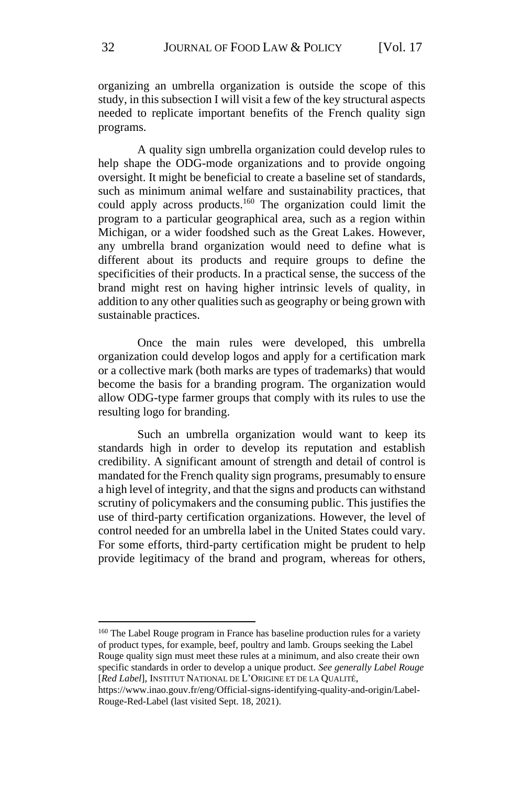organizing an umbrella organization is outside the scope of this study, in this subsection I will visit a few of the key structural aspects needed to replicate important benefits of the French quality sign programs.

A quality sign umbrella organization could develop rules to help shape the ODG-mode organizations and to provide ongoing oversight. It might be beneficial to create a baseline set of standards, such as minimum animal welfare and sustainability practices, that could apply across products.<sup>160</sup> The organization could limit the program to a particular geographical area, such as a region within Michigan, or a wider foodshed such as the Great Lakes. However, any umbrella brand organization would need to define what is different about its products and require groups to define the specificities of their products. In a practical sense, the success of the brand might rest on having higher intrinsic levels of quality, in addition to any other qualities such as geography or being grown with sustainable practices.

Once the main rules were developed, this umbrella organization could develop logos and apply for a certification mark or a collective mark (both marks are types of trademarks) that would become the basis for a branding program. The organization would allow ODG-type farmer groups that comply with its rules to use the resulting logo for branding.

Such an umbrella organization would want to keep its standards high in order to develop its reputation and establish credibility. A significant amount of strength and detail of control is mandated for the French quality sign programs, presumably to ensure a high level of integrity, and that the signs and products can withstand scrutiny of policymakers and the consuming public. This justifies the use of third-party certification organizations. However, the level of control needed for an umbrella label in the United States could vary. For some efforts, third-party certification might be prudent to help provide legitimacy of the brand and program, whereas for others,

<sup>160</sup> The Label Rouge program in France has baseline production rules for a variety of product types, for example, beef, poultry and lamb. Groups seeking the Label Rouge quality sign must meet these rules at a minimum, and also create their own specific standards in order to develop a unique product. *See generally Label Rouge*  [*Red Label*], INSTITUT NATIONAL DE L'ORIGINE ET DE LA QUALITÉ,

https://www.inao.gouv.fr/eng/Official-signs-identifying-quality-and-origin/Label-Rouge-Red-Label (last visited Sept. 18, 2021).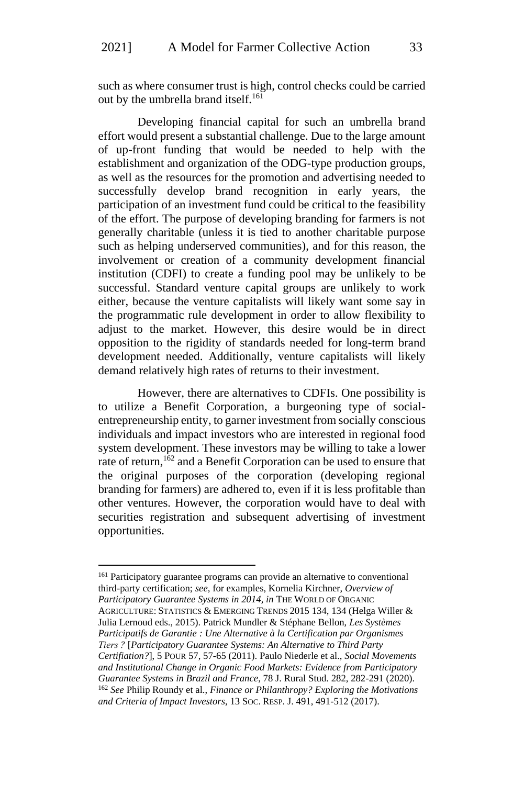such as where consumer trust is high, control checks could be carried out by the umbrella brand itself.<sup>161</sup>

Developing financial capital for such an umbrella brand effort would present a substantial challenge. Due to the large amount of up-front funding that would be needed to help with the establishment and organization of the ODG-type production groups, as well as the resources for the promotion and advertising needed to successfully develop brand recognition in early years, the participation of an investment fund could be critical to the feasibility of the effort. The purpose of developing branding for farmers is not generally charitable (unless it is tied to another charitable purpose such as helping underserved communities), and for this reason, the involvement or creation of a community development financial institution (CDFI) to create a funding pool may be unlikely to be successful. Standard venture capital groups are unlikely to work either, because the venture capitalists will likely want some say in the programmatic rule development in order to allow flexibility to adjust to the market. However, this desire would be in direct opposition to the rigidity of standards needed for long-term brand development needed. Additionally, venture capitalists will likely demand relatively high rates of returns to their investment.

However, there are alternatives to CDFIs. One possibility is to utilize a Benefit Corporation, a burgeoning type of socialentrepreneurship entity, to garner investment from socially conscious individuals and impact investors who are interested in regional food system development. These investors may be willing to take a lower rate of return,<sup>162</sup> and a Benefit Corporation can be used to ensure that the original purposes of the corporation (developing regional branding for farmers) are adhered to, even if it is less profitable than other ventures. However, the corporation would have to deal with securities registration and subsequent advertising of investment opportunities.

<sup>161</sup> Participatory guarantee programs can provide an alternative to conventional third-party certification; *see,* for examples, Kornelia Kirchner, *Overview of Participatory Guarantee Systems in 2014, in* THE WORLD OF ORGANIC AGRICULTURE: STATISTICS & EMERGING TRENDS 2015 134, 134 (Helga Willer & Julia Lernoud eds., 2015). Patrick Mundler & Stéphane Bellon, *Les Systèmes Participatifs de Garantie : Une Alternative à la Certification par Organismes Tiers ?* [*Participatory Guarantee Systems: An Alternative to Third Party Certifiation?*], 5 POUR 57, 57-65 (2011). Paulo Niederle et al., *Social Movements and Institutional Change in Organic Food Markets: Evidence from Participatory Guarantee Systems in Brazil and France*, 78 J. Rural Stud. 282, 282-291 (2020). <sup>162</sup> *See* Philip Roundy et al., *Finance or Philanthropy? Exploring the Motivations and Criteria of Impact Investors*, 13 SOC. RESP. J. 491, 491-512 (2017).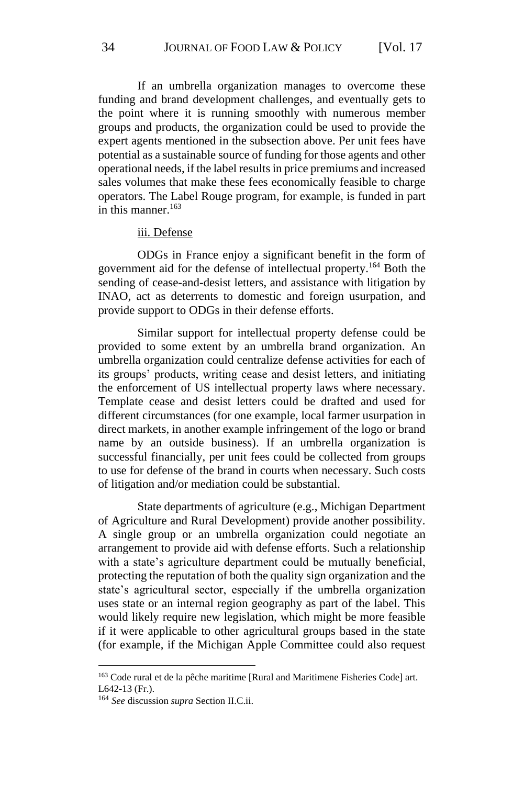If an umbrella organization manages to overcome these funding and brand development challenges, and eventually gets to the point where it is running smoothly with numerous member groups and products, the organization could be used to provide the expert agents mentioned in the subsection above. Per unit fees have potential as a sustainable source of funding for those agents and other operational needs, if the label results in price premiums and increased sales volumes that make these fees economically feasible to charge operators. The Label Rouge program, for example, is funded in part in this manner  $163$ 

#### iii. Defense

ODGs in France enjoy a significant benefit in the form of government aid for the defense of intellectual property.<sup>164</sup> Both the sending of cease-and-desist letters, and assistance with litigation by INAO, act as deterrents to domestic and foreign usurpation, and provide support to ODGs in their defense efforts.

Similar support for intellectual property defense could be provided to some extent by an umbrella brand organization. An umbrella organization could centralize defense activities for each of its groups' products, writing cease and desist letters, and initiating the enforcement of US intellectual property laws where necessary. Template cease and desist letters could be drafted and used for different circumstances (for one example, local farmer usurpation in direct markets, in another example infringement of the logo or brand name by an outside business). If an umbrella organization is successful financially, per unit fees could be collected from groups to use for defense of the brand in courts when necessary. Such costs of litigation and/or mediation could be substantial.

State departments of agriculture (e.g., Michigan Department of Agriculture and Rural Development) provide another possibility. A single group or an umbrella organization could negotiate an arrangement to provide aid with defense efforts. Such a relationship with a state's agriculture department could be mutually beneficial, protecting the reputation of both the quality sign organization and the state's agricultural sector, especially if the umbrella organization uses state or an internal region geography as part of the label. This would likely require new legislation, which might be more feasible if it were applicable to other agricultural groups based in the state (for example, if the Michigan Apple Committee could also request

<sup>163</sup> Code rural et de la pêche maritime [Rural and Maritimene Fisheries Code] art. L642-13 (Fr.).

<sup>164</sup> *See* discussion *supra* Section II.C.ii.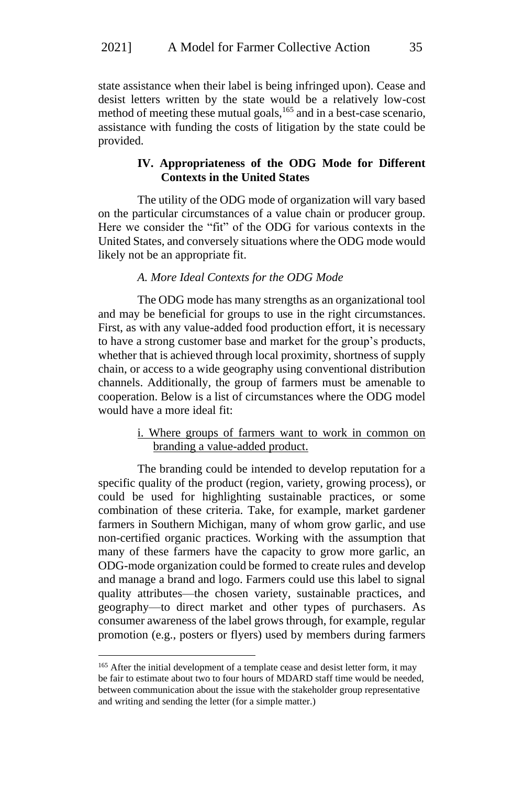state assistance when their label is being infringed upon). Cease and desist letters written by the state would be a relatively low-cost method of meeting these mutual goals,<sup>165</sup> and in a best-case scenario, assistance with funding the costs of litigation by the state could be provided.

## **IV. Appropriateness of the ODG Mode for Different Contexts in the United States**

The utility of the ODG mode of organization will vary based on the particular circumstances of a value chain or producer group. Here we consider the "fit" of the ODG for various contexts in the United States, and conversely situations where the ODG mode would likely not be an appropriate fit.

#### *A. More Ideal Contexts for the ODG Mode*

The ODG mode has many strengths as an organizational tool and may be beneficial for groups to use in the right circumstances. First, as with any value-added food production effort, it is necessary to have a strong customer base and market for the group's products, whether that is achieved through local proximity, shortness of supply chain, or access to a wide geography using conventional distribution channels. Additionally, the group of farmers must be amenable to cooperation. Below is a list of circumstances where the ODG model would have a more ideal fit:

### i. Where groups of farmers want to work in common on branding a value-added product.

The branding could be intended to develop reputation for a specific quality of the product (region, variety, growing process), or could be used for highlighting sustainable practices, or some combination of these criteria. Take, for example, market gardener farmers in Southern Michigan, many of whom grow garlic, and use non-certified organic practices. Working with the assumption that many of these farmers have the capacity to grow more garlic, an ODG-mode organization could be formed to create rules and develop and manage a brand and logo. Farmers could use this label to signal quality attributes—the chosen variety, sustainable practices, and geography—to direct market and other types of purchasers. As consumer awareness of the label grows through, for example, regular promotion (e.g., posters or flyers) used by members during farmers

<sup>&</sup>lt;sup>165</sup> After the initial development of a template cease and desist letter form, it may be fair to estimate about two to four hours of MDARD staff time would be needed, between communication about the issue with the stakeholder group representative and writing and sending the letter (for a simple matter.)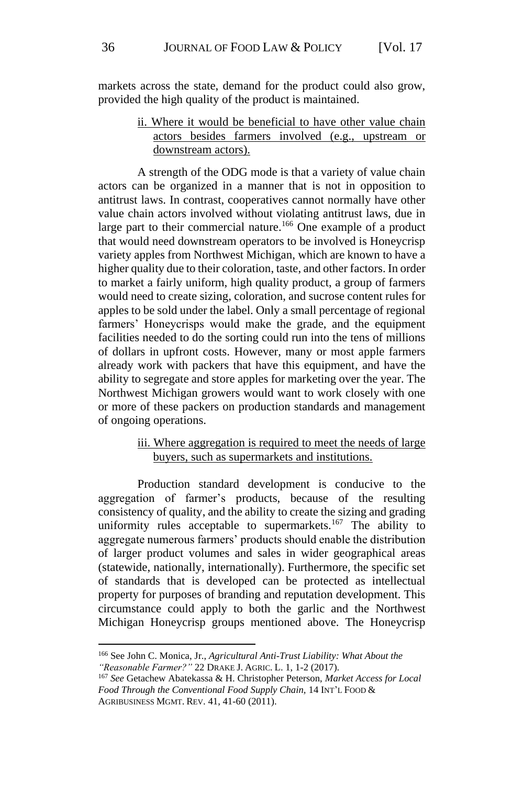markets across the state, demand for the product could also grow, provided the high quality of the product is maintained.

> ii. Where it would be beneficial to have other value chain actors besides farmers involved (e.g., upstream or downstream actors).

A strength of the ODG mode is that a variety of value chain actors can be organized in a manner that is not in opposition to antitrust laws. In contrast, cooperatives cannot normally have other value chain actors involved without violating antitrust laws, due in large part to their commercial nature.<sup>166</sup> One example of a product that would need downstream operators to be involved is Honeycrisp variety apples from Northwest Michigan, which are known to have a higher quality due to their coloration, taste, and other factors. In order to market a fairly uniform, high quality product, a group of farmers would need to create sizing, coloration, and sucrose content rules for apples to be sold under the label. Only a small percentage of regional farmers' Honeycrisps would make the grade, and the equipment facilities needed to do the sorting could run into the tens of millions of dollars in upfront costs. However, many or most apple farmers already work with packers that have this equipment, and have the ability to segregate and store apples for marketing over the year. The Northwest Michigan growers would want to work closely with one or more of these packers on production standards and management of ongoing operations.

## iii. Where aggregation is required to meet the needs of large buyers, such as supermarkets and institutions.

Production standard development is conducive to the aggregation of farmer's products, because of the resulting consistency of quality, and the ability to create the sizing and grading uniformity rules acceptable to supermarkets.<sup>167</sup> The ability to aggregate numerous farmers' products should enable the distribution of larger product volumes and sales in wider geographical areas (statewide, nationally, internationally). Furthermore, the specific set of standards that is developed can be protected as intellectual property for purposes of branding and reputation development. This circumstance could apply to both the garlic and the Northwest Michigan Honeycrisp groups mentioned above. The Honeycrisp

<sup>166</sup> See John C. Monica, Jr., *Agricultural Anti-Trust Liability: What About the "Reasonable Farmer?"* 22 DRAKE J. AGRIC. L. 1, 1-2 (2017).

<sup>167</sup> *See* Getachew Abatekassa & H. Christopher Peterson, *Market Access for Local Food Through the Conventional Food Supply Chain,* 14 INT'L FOOD & AGRIBUSINESS MGMT. REV. 41, 41-60 (2011).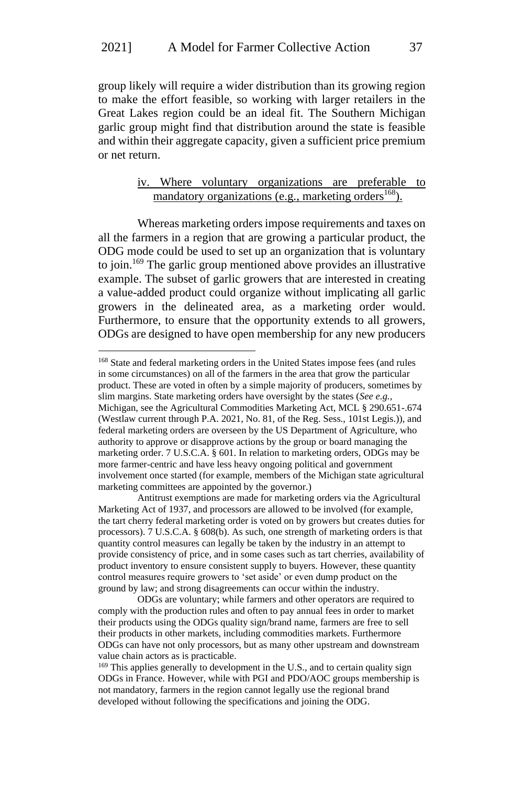group likely will require a wider distribution than its growing region to make the effort feasible, so working with larger retailers in the Great Lakes region could be an ideal fit. The Southern Michigan garlic group might find that distribution around the state is feasible and within their aggregate capacity, given a sufficient price premium or net return.

## iv. Where voluntary organizations are preferable to mandatory organizations (e.g., marketing orders $^{168}$ ).

Whereas marketing orders impose requirements and taxes on all the farmers in a region that are growing a particular product, the ODG mode could be used to set up an organization that is voluntary to join.<sup>169</sup> The garlic group mentioned above provides an illustrative example. The subset of garlic growers that are interested in creating a value-added product could organize without implicating all garlic growers in the delineated area, as a marketing order would. Furthermore, to ensure that the opportunity extends to all growers, ODGs are designed to have open membership for any new producers

<sup>168</sup> State and federal marketing orders in the United States impose fees (and rules in some circumstances) on all of the farmers in the area that grow the particular product. These are voted in often by a simple majority of producers, sometimes by slim margins. State marketing orders have oversight by the states (*See e.g.,* Michigan, see the Agricultural Commodities Marketing Act, MCL § 290.651-.674 (Westlaw current through P.A. 2021, No. 81, of the Reg. Sess., 101st Legis.)), and federal marketing orders are overseen by the US Department of Agriculture, who authority to approve or disapprove actions by the group or board managing the marketing order. 7 U.S.C.A. § 601. In relation to marketing orders, ODGs may be more farmer-centric and have less heavy ongoing political and government involvement once started (for example, members of the Michigan state agricultural marketing committees are appointed by the governor.)

Antitrust exemptions are made for marketing orders via the Agricultural Marketing Act of 1937, and processors are allowed to be involved (for example, the tart cherry federal marketing order is voted on by growers but creates duties for processors). 7 U.S.C.A. § 608(b). As such, one strength of marketing orders is that quantity control measures can legally be taken by the industry in an attempt to provide consistency of price, and in some cases such as tart cherries, availability of product inventory to ensure consistent supply to buyers. However, these quantity control measures require growers to 'set aside' or even dump product on the ground by law; and strong disagreements can occur within the industry.

ODGs are voluntary; while farmers and other operators are required to comply with the production rules and often to pay annual fees in order to market their products using the ODGs quality sign/brand name, farmers are free to sell their products in other markets, including commodities markets. Furthermore ODGs can have not only processors, but as many other upstream and downstream value chain actors as is practicable.

<sup>&</sup>lt;sup>169</sup> This applies generally to development in the U.S., and to certain quality sign ODGs in France. However, while with PGI and PDO/AOC groups membership is not mandatory, farmers in the region cannot legally use the regional brand developed without following the specifications and joining the ODG.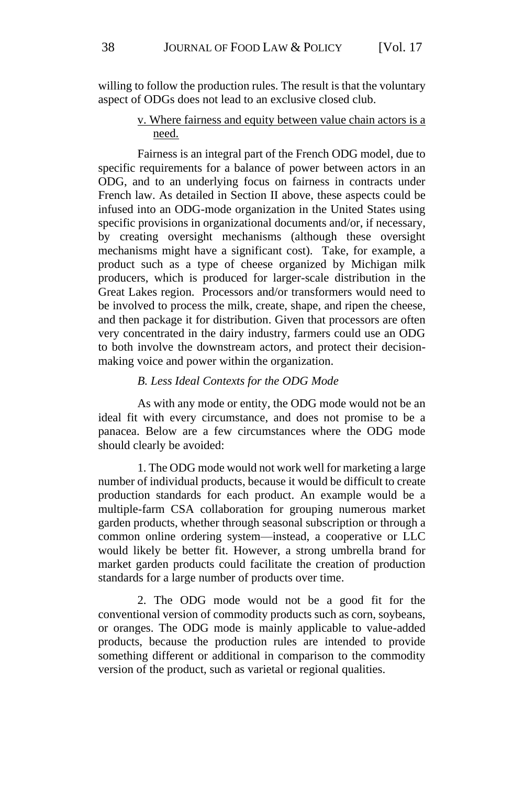willing to follow the production rules. The result is that the voluntary aspect of ODGs does not lead to an exclusive closed club.

## v. Where fairness and equity between value chain actors is a need.

Fairness is an integral part of the French ODG model, due to specific requirements for a balance of power between actors in an ODG, and to an underlying focus on fairness in contracts under French law. As detailed in Section II above, these aspects could be infused into an ODG-mode organization in the United States using specific provisions in organizational documents and/or, if necessary, by creating oversight mechanisms (although these oversight mechanisms might have a significant cost). Take, for example, a product such as a type of cheese organized by Michigan milk producers, which is produced for larger-scale distribution in the Great Lakes region. Processors and/or transformers would need to be involved to process the milk, create, shape, and ripen the cheese, and then package it for distribution. Given that processors are often very concentrated in the dairy industry, farmers could use an ODG to both involve the downstream actors, and protect their decisionmaking voice and power within the organization.

#### *B. Less Ideal Contexts for the ODG Mode*

As with any mode or entity, the ODG mode would not be an ideal fit with every circumstance, and does not promise to be a panacea. Below are a few circumstances where the ODG mode should clearly be avoided:

1. The ODG mode would not work well for marketing a large number of individual products, because it would be difficult to create production standards for each product. An example would be a multiple-farm CSA collaboration for grouping numerous market garden products, whether through seasonal subscription or through a common online ordering system—instead, a cooperative or LLC would likely be better fit. However, a strong umbrella brand for market garden products could facilitate the creation of production standards for a large number of products over time.

2. The ODG mode would not be a good fit for the conventional version of commodity products such as corn, soybeans, or oranges. The ODG mode is mainly applicable to value-added products, because the production rules are intended to provide something different or additional in comparison to the commodity version of the product, such as varietal or regional qualities.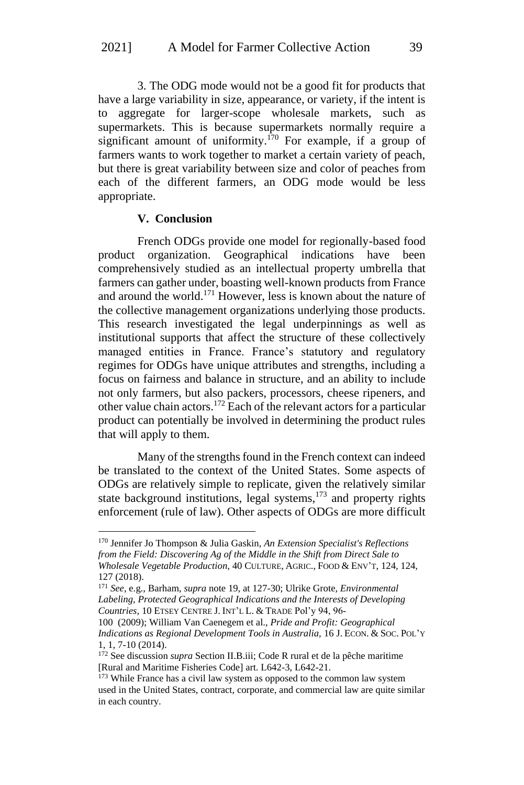3. The ODG mode would not be a good fit for products that have a large variability in size, appearance, or variety, if the intent is to aggregate for larger-scope wholesale markets, such as supermarkets. This is because supermarkets normally require a significant amount of uniformity.<sup>170</sup> For example, if a group of farmers wants to work together to market a certain variety of peach, but there is great variability between size and color of peaches from each of the different farmers, an ODG mode would be less appropriate.

#### **V. Conclusion**

French ODGs provide one model for regionally-based food product organization. Geographical indications have been comprehensively studied as an intellectual property umbrella that farmers can gather under, boasting well-known products from France and around the world.<sup>171</sup> However, less is known about the nature of the collective management organizations underlying those products. This research investigated the legal underpinnings as well as institutional supports that affect the structure of these collectively managed entities in France. France's statutory and regulatory regimes for ODGs have unique attributes and strengths, including a focus on fairness and balance in structure, and an ability to include not only farmers, but also packers, processors, cheese ripeners, and other value chain actors.<sup>172</sup> Each of the relevant actors for a particular product can potentially be involved in determining the product rules that will apply to them.

Many of the strengths found in the French context can indeed be translated to the context of the United States. Some aspects of ODGs are relatively simple to replicate, given the relatively similar state background institutions, legal systems,<sup>173</sup> and property rights enforcement (rule of law). Other aspects of ODGs are more difficult

<sup>170</sup> Jennifer Jo Thompson & Julia Gaskin, *An Extension Specialist's Reflections from the Field: Discovering Ag of the Middle in the Shift from Direct Sale to Wholesale Vegetable Production,* 40 CULTURE, AGRIC., FOOD & ENV'T, 124, 124, 127 (2018).

<sup>171</sup> *See*, e.g., Barham, *supra* note 19, at 127-30; Ulrike Grote, *Environmental Labeling, Protected Geographical Indications and the Interests of Developing Countries,* 10 ETSEY CENTRE J. INT'L L. & TRADE Pol'y 94, 96-

<sup>100</sup> (2009); William Van Caenegem et al., *Pride and Profit: Geographical Indications as Regional Development Tools in Australia,* 16 J. ECON. & SOC. POL'Y 1, 1, 7-10 (2014).

<sup>172</sup> See discussion *supra* Section II.B.iii; Code R rural et de la pêche maritime [Rural and Maritime Fisheries Code] art. L642-3, L642-21.

<sup>&</sup>lt;sup>173</sup> While France has a civil law system as opposed to the common law system used in the United States, contract, corporate, and commercial law are quite similar in each country.